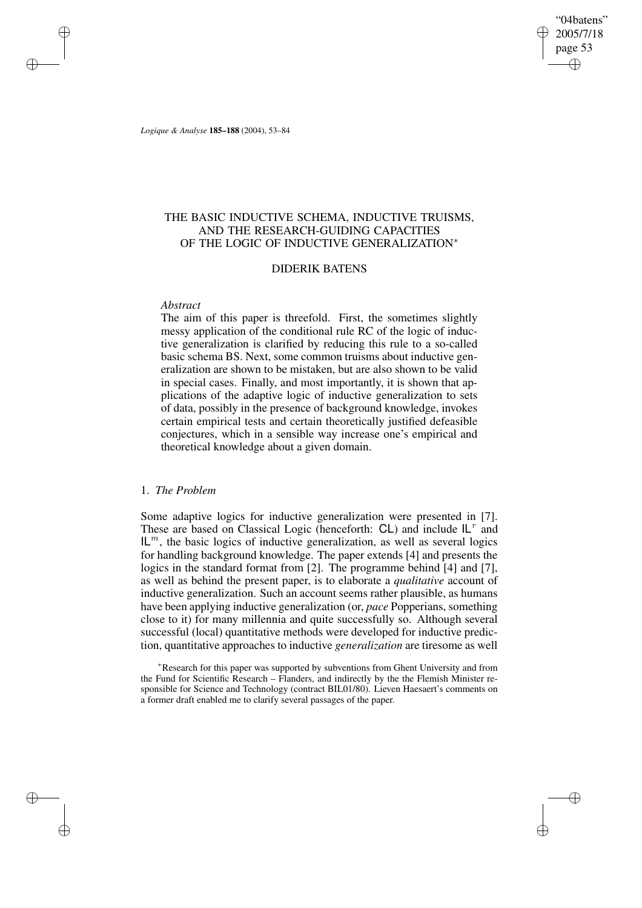"04batens" 2005/7/18 page 53 ✐ ✐

✐

✐

*Logique & Analyse* **185–188** (2004), 53–84

✐

✐

✐

✐

## THE BASIC INDUCTIVE SCHEMA, INDUCTIVE TRUISMS, AND THE RESEARCH-GUIDING CAPACITIES OF THE LOGIC OF INDUCTIVE GENERALIZATION∗

## DIDERIK BATENS

## *Abstract*

The aim of this paper is threefold. First, the sometimes slightly messy application of the conditional rule RC of the logic of inductive generalization is clarified by reducing this rule to a so-called basic schema BS. Next, some common truisms about inductive generalization are shown to be mistaken, but are also shown to be valid in special cases. Finally, and most importantly, it is shown that applications of the adaptive logic of inductive generalization to sets of data, possibly in the presence of background knowledge, invokes certain empirical tests and certain theoretically justified defeasible conjectures, which in a sensible way increase one's empirical and theoretical knowledge about a given domain.

## 1. *The Problem*

Some adaptive logics for inductive generalization were presented in [7]. These are based on Classical Logic (henceforth:  $CL$ ) and include  $IL<sup>r</sup>$  and  $IL<sup>m</sup>$ , the basic logics of inductive generalization, as well as several logics for handling background knowledge. The paper extends [4] and presents the logics in the standard format from [2]. The programme behind [4] and [7], as well as behind the present paper, is to elaborate a *qualitative* account of inductive generalization. Such an account seems rather plausible, as humans have been applying inductive generalization (or, *pace* Popperians, something close to it) for many millennia and quite successfully so. Although several successful (local) quantitative methods were developed for inductive prediction, quantitative approaches to inductive *generalization* are tiresome as well

<sup>∗</sup>Research for this paper was supported by subventions from Ghent University and from the Fund for Scientific Research – Flanders, and indirectly by the the Flemish Minister responsible for Science and Technology (contract BIL01/80). Lieven Haesaert's comments on a former draft enabled me to clarify several passages of the paper.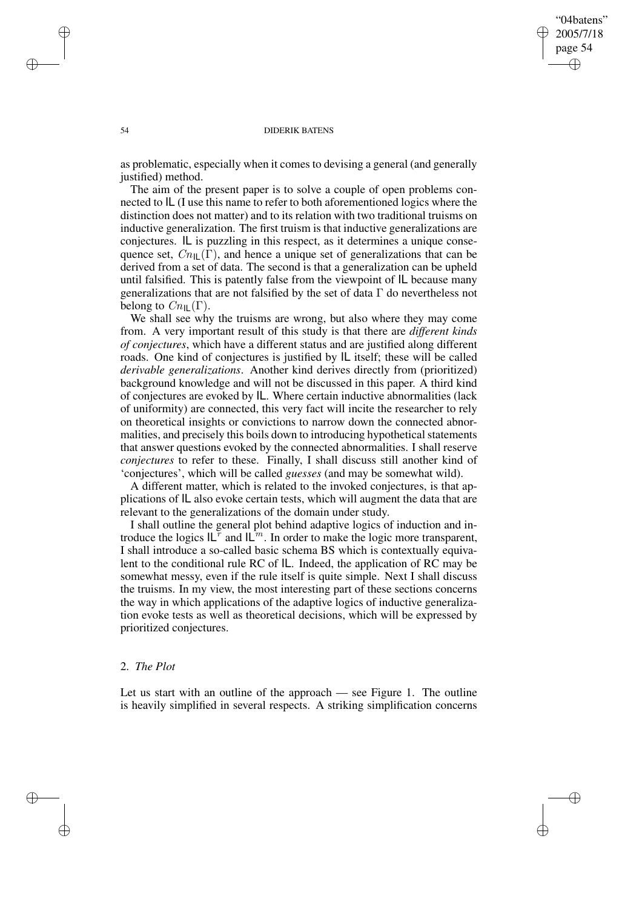✐

### 54 DIDERIK BATENS

as problematic, especially when it comes to devising a general (and generally justified) method.

The aim of the present paper is to solve a couple of open problems connected to IL (I use this name to refer to both aforementioned logics where the distinction does not matter) and to its relation with two traditional truisms on inductive generalization. The first truism is that inductive generalizations are conjectures. IL is puzzling in this respect, as it determines a unique consequence set,  $Cn_{\text{II}}(\Gamma)$ , and hence a unique set of generalizations that can be derived from a set of data. The second is that a generalization can be upheld until falsified. This is patently false from the viewpoint of IL because many generalizations that are not falsified by the set of data  $\Gamma$  do nevertheless not belong to  $C_{n\parallel}(\Gamma)$ .

We shall see why the truisms are wrong, but also where they may come from. A very important result of this study is that there are *different kinds of conjectures*, which have a different status and are justified along different roads. One kind of conjectures is justified by IL itself; these will be called *derivable generalizations*. Another kind derives directly from (prioritized) background knowledge and will not be discussed in this paper. A third kind of conjectures are evoked by IL. Where certain inductive abnormalities (lack of uniformity) are connected, this very fact will incite the researcher to rely on theoretical insights or convictions to narrow down the connected abnormalities, and precisely this boils down to introducing hypothetical statements that answer questions evoked by the connected abnormalities. I shall reserve *conjectures* to refer to these. Finally, I shall discuss still another kind of 'conjectures', which will be called *guesses* (and may be somewhat wild).

A different matter, which is related to the invoked conjectures, is that applications of IL also evoke certain tests, which will augment the data that are relevant to the generalizations of the domain under study.

I shall outline the general plot behind adaptive logics of induction and introduce the logics  $|L^r$  and  $|L^m$ . In order to make the logic more transparent, I shall introduce a so-called basic schema BS which is contextually equivalent to the conditional rule RC of IL. Indeed, the application of RC may be somewhat messy, even if the rule itself is quite simple. Next I shall discuss the truisms. In my view, the most interesting part of these sections concerns the way in which applications of the adaptive logics of inductive generalization evoke tests as well as theoretical decisions, which will be expressed by prioritized conjectures.

## 2. *The Plot*

✐

✐

Let us start with an outline of the approach — see Figure 1. The outline is heavily simplified in several respects. A striking simplification concerns

✐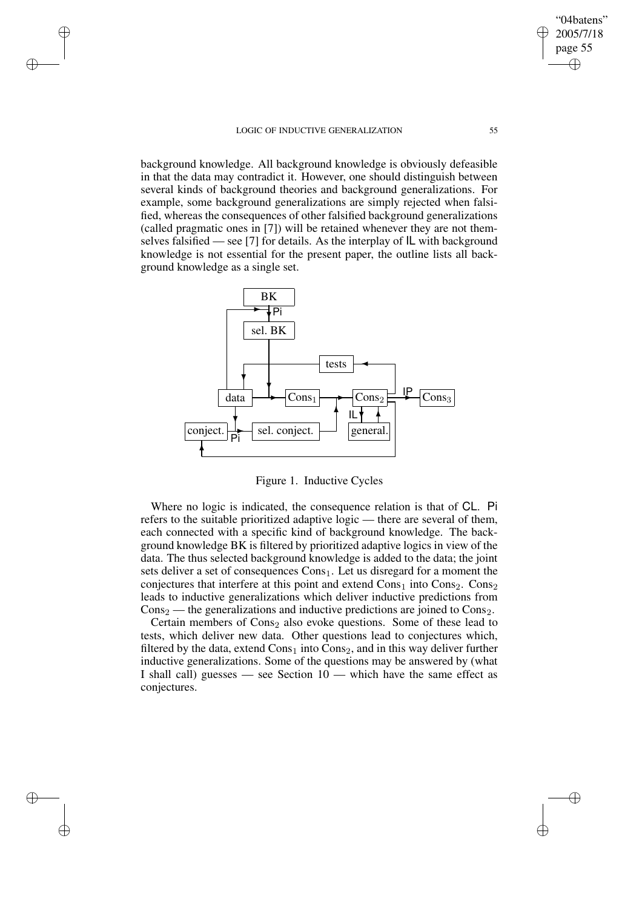### LOGIC OF INDUCTIVE GENERALIZATION 55

✐

✐

✐

✐

background knowledge. All background knowledge is obviously defeasible in that the data may contradict it. However, one should distinguish between several kinds of background theories and background generalizations. For example, some background generalizations are simply rejected when falsified, whereas the consequences of other falsified background generalizations (called pragmatic ones in [7]) will be retained whenever they are not themselves falsified — see [7] for details. As the interplay of IL with background knowledge is not essential for the present paper, the outline lists all background knowledge as a single set.



Figure 1. Inductive Cycles

Where no logic is indicated, the consequence relation is that of CL. Pi refers to the suitable prioritized adaptive logic — there are several of them, each connected with a specific kind of background knowledge. The background knowledge BK is filtered by prioritized adaptive logics in view of the data. The thus selected background knowledge is added to the data; the joint sets deliver a set of consequences  $Cons<sub>1</sub>$ . Let us disregard for a moment the conjectures that interfere at this point and extend  $Cons<sub>1</sub>$  into  $Cons<sub>2</sub>$ . Cons<sub>2</sub>. leads to inductive generalizations which deliver inductive predictions from  $\cos_2$  — the generalizations and inductive predictions are joined to  $\cos_2$ .

Certain members of  $\text{Cons}_2$  also evoke questions. Some of these lead to tests, which deliver new data. Other questions lead to conjectures which, filtered by the data, extend  $Cons<sub>1</sub>$  into  $Cons<sub>2</sub>$ , and in this way deliver further inductive generalizations. Some of the questions may be answered by (what I shall call) guesses — see Section  $10$  — which have the same effect as conjectures.

"04batens" 2005/7/18 page 55

✐

✐

 $\bigoplus$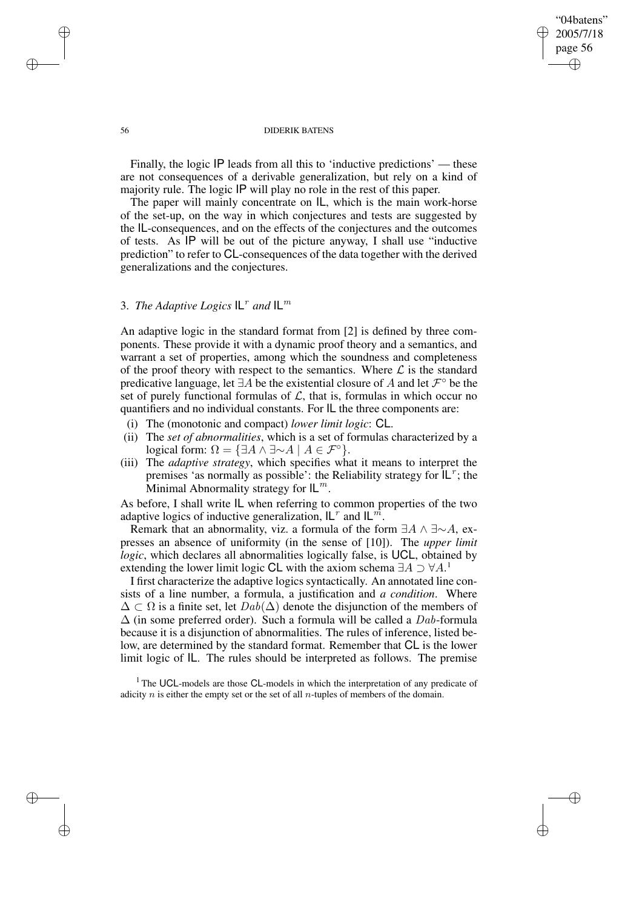## "04batens" 2005/7/18 page 56 ✐ ✐

✐

✐

### 56 DIDERIK BATENS

Finally, the logic IP leads from all this to 'inductive predictions' — these are not consequences of a derivable generalization, but rely on a kind of majority rule. The logic IP will play no role in the rest of this paper.

The paper will mainly concentrate on IL, which is the main work-horse of the set-up, on the way in which conjectures and tests are suggested by the IL-consequences, and on the effects of the conjectures and the outcomes of tests. As IP will be out of the picture anyway, I shall use "inductive prediction" to refer to CL-consequences of the data together with the derived generalizations and the conjectures.

# 3. *The Adaptive Logics*  $IL<sup>r</sup>$  and  $IL<sup>m</sup>$

An adaptive logic in the standard format from [2] is defined by three components. These provide it with a dynamic proof theory and a semantics, and warrant a set of properties, among which the soundness and completeness of the proof theory with respect to the semantics. Where  $\mathcal L$  is the standard predicative language, let ∃A be the existential closure of A and let  $\mathcal{F}^{\circ}$  be the set of purely functional formulas of  $\mathcal{L}$ , that is, formulas in which occur no quantifiers and no individual constants. For IL the three components are:

- (i) The (monotonic and compact) *lower limit logic*: CL.
- (ii) The *set of abnormalities*, which is a set of formulas characterized by a logical form:  $\Omega = \{ \exists A \land \exists \sim A \mid A \in \mathcal{F}^{\circ} \}.$
- (iii) The *adaptive strategy*, which specifies what it means to interpret the premises 'as normally as possible': the Reliability strategy for  $|L^r|$ ; the Minimal Abnormality strategy for  $IL^m$ .

As before, I shall write IL when referring to common properties of the two adaptive logics of inductive generalization,  $IL<sup>r</sup>$  and  $IL<sup>m</sup>$ .

Remark that an abnormality, viz. a formula of the form  $\exists A \wedge \exists \sim A$ , expresses an absence of uniformity (in the sense of [10]). The *upper limit logic*, which declares all abnormalities logically false, is UCL, obtained by extending the lower limit logic CL with the axiom schema  $\exists A \supset \forall A$ .<sup>1</sup>

I first characterize the adaptive logics syntactically. An annotated line consists of a line number, a formula, a justification and *a condition*. Where  $\Delta \subset \Omega$  is a finite set, let  $Dab(\Delta)$  denote the disjunction of the members of  $\Delta$  (in some preferred order). Such a formula will be called a Dab-formula because it is a disjunction of abnormalities. The rules of inference, listed below, are determined by the standard format. Remember that CL is the lower limit logic of IL. The rules should be interpreted as follows. The premise

 $<sup>1</sup>$  The UCL-models are those CL-models in which the interpretation of any predicate of</sup> adicity  $n$  is either the empty set or the set of all  $n$ -tuples of members of the domain.

✐

✐

✐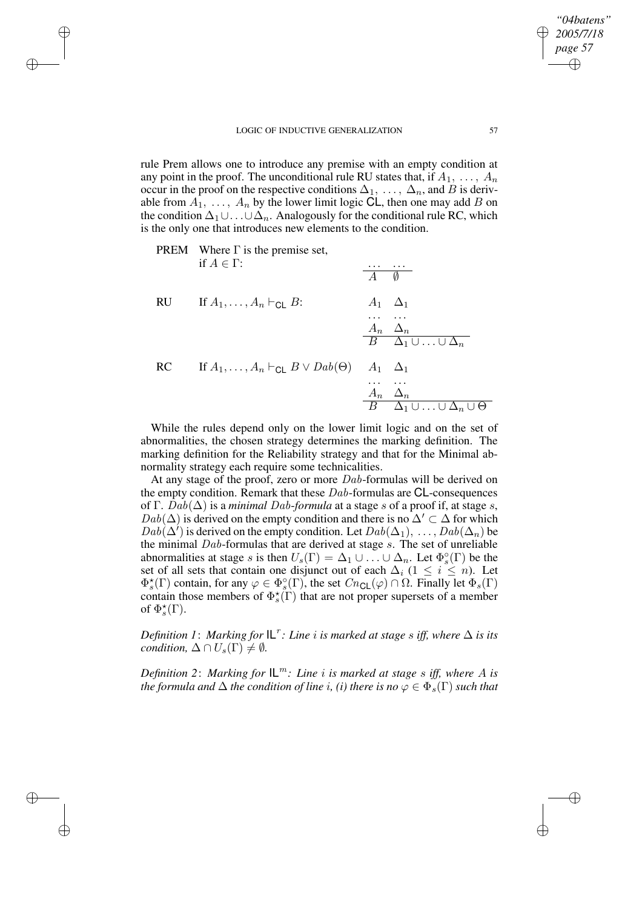✐

✐

✐

rule Prem allows one to introduce any premise with an empty condition at any point in the proof. The unconditional rule RU states that, if  $A_1, \ldots, A_n$ occur in the proof on the respective conditions  $\Delta_1, \ldots, \Delta_n$ , and B is derivable from  $A_1, \ldots, A_n$  by the lower limit logic CL, then one may add B on the condition  $\Delta_1 \cup \ldots \cup \Delta_n$ . Analogously for the conditional rule RC, which is the only one that introduces new elements to the condition.



While the rules depend only on the lower limit logic and on the set of abnormalities, the chosen strategy determines the marking definition. The marking definition for the Reliability strategy and that for the Minimal abnormality strategy each require some technicalities.

At any stage of the proof, zero or more Dab-formulas will be derived on the empty condition. Remark that these  $Dab$ -formulas are CL-consequences of Γ. Dab( $\Delta$ ) is a *minimal Dab-formula* at a stage s of a proof if, at stage s,  $Dab(\Delta)$  is derived on the empty condition and there is no  $\Delta' \subset \Delta$  for which  $Dab(\Delta')$  is derived on the empty condition. Let  $Dab(\Delta_1), \ldots, Dab(\Delta_n)$  be the minimal  $Dab$ -formulas that are derived at stage  $s$ . The set of unreliable abnormalities at stage s is then  $U_s(\Gamma) = \Delta_1 \cup \ldots \cup \Delta_n$ . Let  $\Phi_s^{\circ}(\Gamma)$  be the set of all sets that contain one disjunct out of each  $\Delta_i$  ( $1 \leq i \leq n$ ). Let  $\Phi_s^*(\Gamma)$  contain, for any  $\varphi \in \Phi_s^{\circ}(\Gamma)$ , the set  $Cn_{\text{CL}}(\varphi) \cap \Omega$ . Finally let  $\Phi_s(\Gamma)$ contain those members of  $\Phi_s^{\star}(\Gamma)$  that are not proper supersets of a member of  $\Phi_s^{\star}(\Gamma)$ .

 $D$ efinition 1: Marking for  $|L^r$ : Line  $i$  is marked at stage  $s$  iff, where  $\Delta$  is its *condition,*  $\Delta \cap U_s(\Gamma) \neq \emptyset$ .

*Definition* 2: *Marking for*  $IL^m$ : *Line i is marked at stage s iff, where A is the formula and*  $\Delta$  *the condition of line i, (i) there is no*  $\varphi \in \Phi_s(\Gamma)$  *such that* 

*"04batens" 2005/7/18 page 57*

✐

✐

✐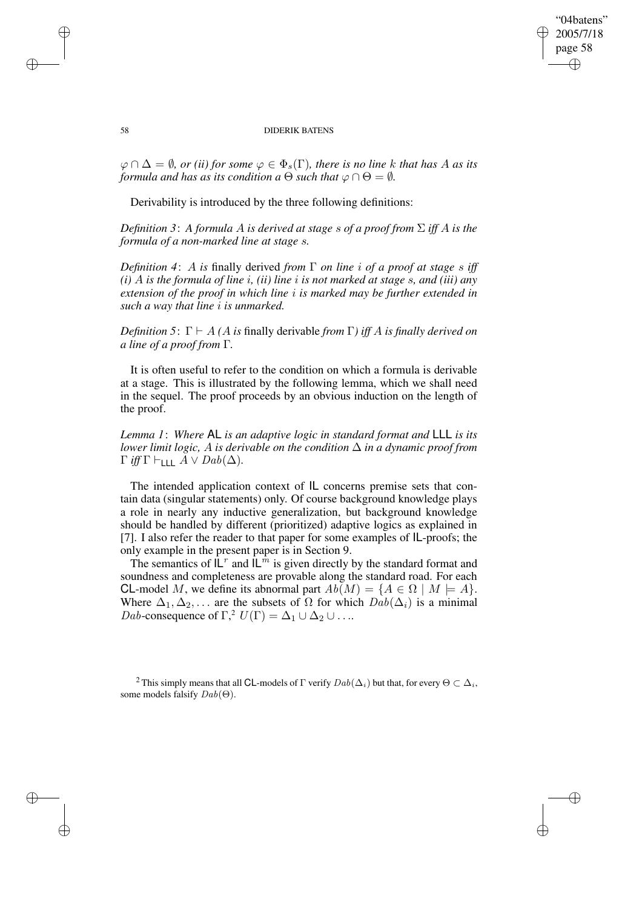## "04batens" 2005/7/18 page 58 ✐ ✐

✐

✐

### 58 DIDERIK BATENS

 $\varphi \cap \Delta = \emptyset$ , *or (ii) for some*  $\varphi \in \Phi_s(\Gamma)$ , *there is no line k that has A as its formula and has as its condition*  $a \theta$  *such that*  $\varphi \cap \theta = \emptyset$ *.* 

Derivability is introduced by the three following definitions:

*Definition 3*: *A formula* A *is derived at stage* s *of a proof from* Σ *iff* A *is the formula of a non-marked line at stage* s*.*

*Definition 4*: A *is* finally derived *from* Γ *on line* i *of a proof at stage* s *iff (i)* A *is the formula of line* i*, (ii) line* i *is not marked at stage* s*, and (iii) any extension of the proof in which line* i *is marked may be further extended in such a way that line* i *is unmarked.*

*Definition* 5:  $\Gamma \vdash A$  *(A is finally derivable from*  $\Gamma$ *) iff A is finally derived on a line of a proof from* Γ*.*

It is often useful to refer to the condition on which a formula is derivable at a stage. This is illustrated by the following lemma, which we shall need in the sequel. The proof proceeds by an obvious induction on the length of the proof.

*Lemma 1*: *Where* AL *is an adaptive logic in standard format and* LLL *is its lower limit logic,* A *is derivable on the condition*  $\Delta$  *in a dynamic proof from*  $\Gamma$  *iff*  $\Gamma \vdash$ <sub>LLL</sub>  $A \lor Dab(\Delta)$ .

The intended application context of IL concerns premise sets that contain data (singular statements) only. Of course background knowledge plays a role in nearly any inductive generalization, but background knowledge should be handled by different (prioritized) adaptive logics as explained in [7]. I also refer the reader to that paper for some examples of IL-proofs; the only example in the present paper is in Section 9.

The semantics of  $L^r$  and  $L^m$  is given directly by the standard format and soundness and completeness are provable along the standard road. For each CL-model M, we define its abnormal part  $Ab(M) = \{A \in \Omega \mid M \models A\}.$ Where  $\Delta_1, \Delta_2, \ldots$  are the subsets of  $\Omega$  for which  $Dab(\Delta_i)$  is a minimal *Dab*-consequence of  $\Gamma$ ,<sup>2</sup>  $U(\Gamma) = \Delta_1 \cup \Delta_2 \cup ...$ 

<sup>2</sup> This simply means that all CL-models of Γ verify  $Dab(\Delta_i)$  but that, for every  $\Theta \subset \Delta_i$ , some models falsify Dab(Θ).

✐

✐

✐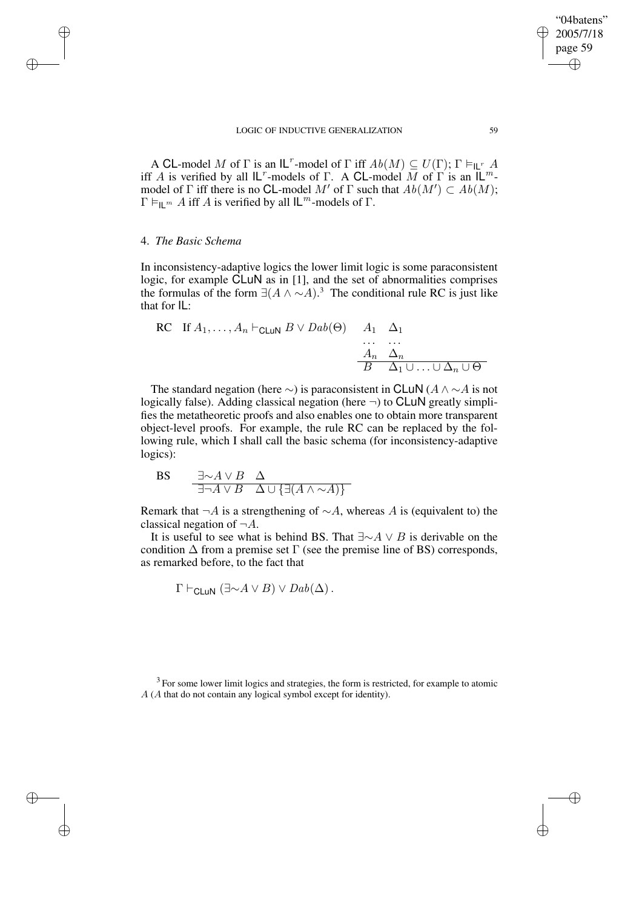A CL-model M of  $\Gamma$  is an  $\mathsf{IL}^r$ -model of  $\Gamma$  iff  $Ab(M) \subseteq U(\Gamma)$ ;  $\Gamma \vDash_{\mathsf{IL}^r} A$ iff A is verified by all  $\mathsf{IL}^r$ -models of  $\Gamma$ . A CL-model M of  $\Gamma$  is an  $\mathsf{IL}^m$ model of  $\Gamma$  iff there is no CL-model M' of  $\Gamma$  such that  $Ab(M') \subset Ab(M)$ ;  $\Gamma \models_{\Pi} m A$  iff A is verified by all  $\mathsf{IL}^m$ -models of  $\Gamma$ .

## 4. *The Basic Schema*

✐

✐

✐

✐

In inconsistency-adaptive logics the lower limit logic is some paraconsistent logic, for example CLuN as in [1], and the set of abnormalities comprises the formulas of the form  $\exists (A \land \sim A)^3$ . The conditional rule RC is just like that for IL:

$$
\begin{array}{ll}\n\text{RC} & \text{If } A_1, \dots, A_n \vdash_{\text{CLuN}} B \lor \text{Dab}(\Theta) \quad A_1 \quad \Delta_1 \\
& \dots \quad \dots \\
& \Delta_n \quad \Delta_n \\
& \Delta_1 \cup \dots \cup \Delta_n \cup \Theta\n\end{array}
$$

The standard negation (here  $\sim$ ) is paraconsistent in CLuN ( $A \wedge \sim A$  is not logically false). Adding classical negation (here  $\neg$ ) to **CLuN** greatly simplifies the metatheoretic proofs and also enables one to obtain more transparent object-level proofs. For example, the rule RC can be replaced by the following rule, which I shall call the basic schema (for inconsistency-adaptive logics):

BS 
$$
\frac{\exists \sim A \lor B \quad \Delta}{\exists \neg A \lor B \quad \Delta \cup \{\exists (A \land \sim A)\}}
$$

Remark that  $\neg A$  is a strengthening of  $\sim A$ , whereas A is (equivalent to) the classical negation of  $\neg A$ .

It is useful to see what is behind BS. That  $\exists \sim A \lor B$  is derivable on the condition  $\Delta$  from a premise set  $\Gamma$  (see the premise line of BS) corresponds, as remarked before, to the fact that

$$
\Gamma \vdash_{\mathsf{CLuN}} (\exists \sim A \lor B) \lor \mathit{Dab}(\Delta).
$$

 $3$  For some lower limit logics and strategies, the form is restricted, for example to atomic A (A that do not contain any logical symbol except for identity).

"04batens" 2005/7/18 page 59

✐

✐

✐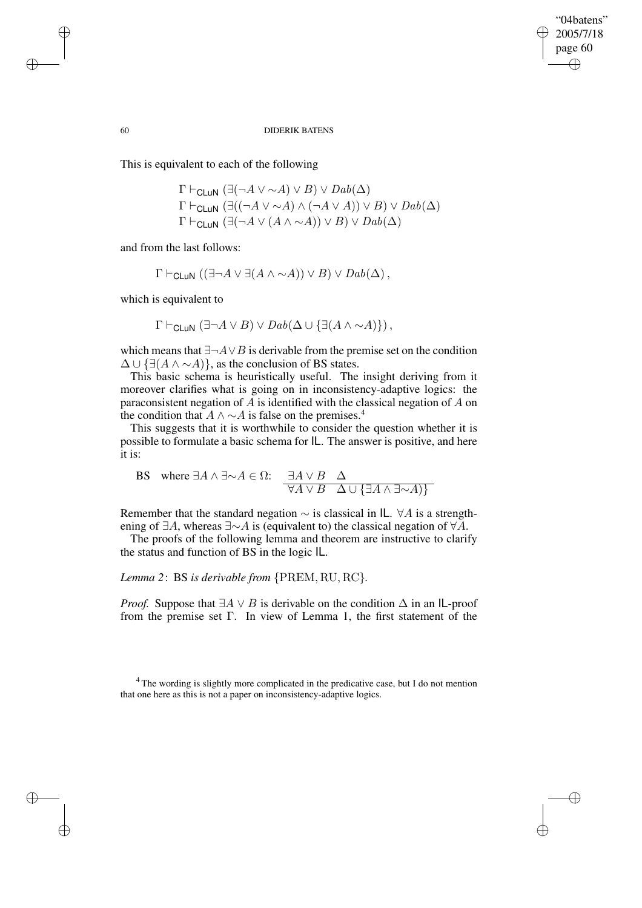✐

### 60 DIDERIK BATENS

This is equivalent to each of the following

$$
\Gamma \vdash_{\mathsf{CLuN}} (\exists (\neg A \lor \sim A) \lor B) \lor \mathit{Dab}(\Delta)
$$
  
\n
$$
\Gamma \vdash_{\mathsf{CLuN}} (\exists ((\neg A \lor \sim A) \land (\neg A \lor A)) \lor B) \lor \mathit{Dab}(\Delta)
$$
  
\n
$$
\Gamma \vdash_{\mathsf{CLuN}} (\exists (\neg A \lor (A \land \sim A)) \lor B) \lor \mathit{Dab}(\Delta)
$$

and from the last follows:

$$
\Gamma \vdash_{\mathsf{CLuN}} ((\exists \neg A \vee \exists (A \wedge \sim A)) \vee B) \vee \mathit{Dab}(\Delta)\,,
$$

which is equivalent to

$$
\Gamma \vdash_{\mathsf{CLuN}} (\exists \neg A \vee B) \vee \mathit{Dab}(\Delta \cup \{\exists (A \wedge \sim A)\})\,,
$$

which means that  $\exists \neg A \lor B$  is derivable from the premise set on the condition  $\Delta \cup {\exists (A \land \sim A)}$ , as the conclusion of BS states.

This basic schema is heuristically useful. The insight deriving from it moreover clarifies what is going on in inconsistency-adaptive logics: the paraconsistent negation of A is identified with the classical negation of A on the condition that  $A \wedge \neg A$  is false on the premises.<sup>4</sup>

This suggests that it is worthwhile to consider the question whether it is possible to formulate a basic schema for IL. The answer is positive, and here it is:

BS where 
$$
\exists A \land \exists \sim A \in \Omega
$$
:  $\frac{\exists A \lor B \quad \Delta}{\forall A \lor B \quad \Delta \cup \{\exists A \land \exists \sim A)\}}$ 

Remember that the standard negation  $\sim$  is classical in IL. ∀A is a strengthening of ∃A, whereas ∃∼A is (equivalent to) the classical negation of ∀A.

The proofs of the following lemma and theorem are instructive to clarify the status and function of BS in the logic IL.

## *Lemma 2*: BS *is derivable from* {PREM, RU, RC}*.*

*Proof.* Suppose that  $\exists A \lor B$  is derivable on the condition  $\Delta$  in an IL-proof from the premise set Γ. In view of Lemma 1, the first statement of the

✐

✐

✐

<sup>&</sup>lt;sup>4</sup> The wording is slightly more complicated in the predicative case, but I do not mention that one here as this is not a paper on inconsistency-adaptive logics.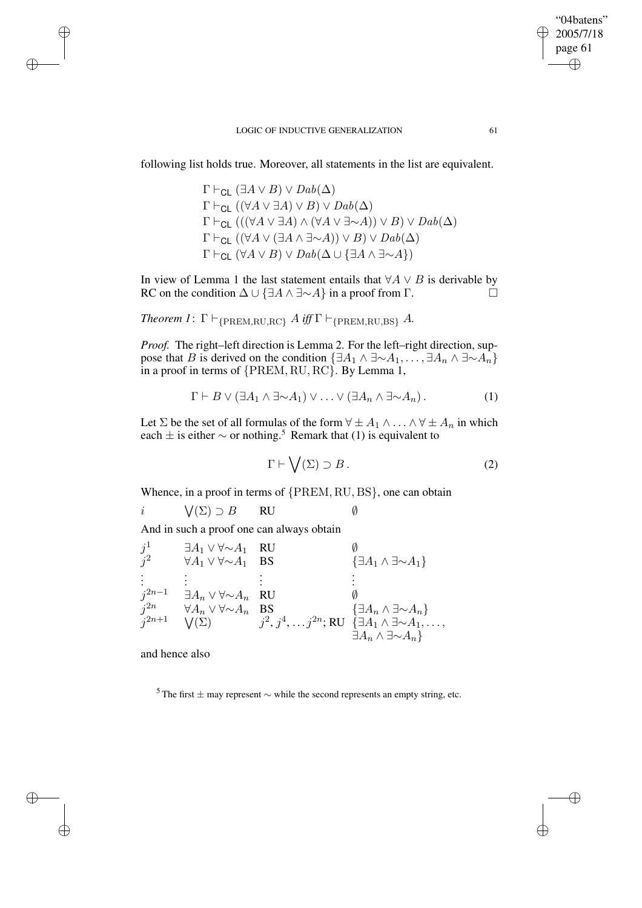### LOGIC OF INDUCTIVE GENERALIZATION 61

following list holds true. Moreover, all statements in the list are equivalent.

 $\Gamma \vdash_{\text{Cl}} (\exists A \vee B) \vee \text{D}ab(\Delta)$  $\Gamma \vdash_{\text{Cl}} ((\forall A \lor \exists A) \lor B) \lor Dab(\Delta)$  $\Gamma \vdash_{\text{Cl}} (((\forall A \lor \exists A) \land (\forall A \lor \exists \sim A)) \lor B) \lor Dab(\Delta)$  $\Gamma \vdash_{\mathsf{CL}} ((\forall A \vee (\exists A \wedge \exists \sim A)) \vee B) \vee \mathit{Dab}(\Delta))$  $\Gamma \vdash_{\text{Cl}} (\forall A \lor B) \lor \text{Dab}(\Delta \cup \{\exists A \land \exists \sim A\})$ 

In view of Lemma 1 the last statement entails that  $\forall A \lor B$  is derivable by RC on the condition  $\Delta \cup {\exists A \land \exists \sim A}$  in a proof from  $\Gamma$ .

*Theorem 1*:  $\Gamma \vdash_{\text{PREM,RU,RC}} A \text{ iff } \Gamma \vdash_{\text{PREM,RU,BS}} A$ .

*Proof.* The right–left direction is Lemma 2. For the left–right direction, suppose that B is derived on the condition  $\{\exists A_1 \land \exists \sim A_1, \ldots, \exists A_n \land \exists \sim A_n\}$ in a proof in terms of {PREM, RU, RC}. By Lemma 1,

$$
\Gamma \vdash B \lor (\exists A_1 \land \exists \sim A_1) \lor \dots \lor (\exists A_n \land \exists \sim A_n).
$$
 (1)

Let  $\Sigma$  be the set of all formulas of the form  $\forall \pm A_1 \wedge \ldots \wedge \forall \pm A_n$  in which each  $\pm$  is either  $\sim$  or nothing.<sup>5</sup> Remark that (1) is equivalent to

$$
\Gamma \vdash \bigvee(\Sigma) \supset B. \tag{2}
$$

Whence, in a proof in terms of {PREM, RU, BS}, one can obtain

i  $\bigvee(\Sigma)\supset B$  RU Ø

And in such a proof one can always obtain

 $j^1$ <br> $j^2$  $\exists A_1 \vee \forall \sim A_1$  RU <br>  $\forall A_1 \vee \forall \sim A_1$  BS {∃ $A_1 \wedge \exists \sim A_1$ }  $\widetilde{Z}$   $\forall A_1 \vee \forall \sim A_1$  BS {∃ $A_1 \wedge \exists \sim A_1$ } . . . . . . . . . . . .  $j^{2n-1}$  ∃ $A_n \vee \forall \sim A_n$  RU Ø  $\overline{G}^{2n}$   $\forall A_n \vee \forall \sim A_n$  BS  $\{\exists A_n \wedge \exists \sim A_n\}$  $\widetilde{J}^{2n+1}$   $\forall$ (∑)  $j^2, j^4, \ldots j^{2n}$ ; RU {∃A<sub>1</sub>∧ ∃∼A<sub>1</sub>,..., ∃ $A_n \wedge \exists \sim A_n$ }

and hence also

✐

✐

✐

✐

<sup>5</sup> The first  $\pm$  may represent  $\sim$  while the second represents an empty string, etc.

"04batens" 2005/7/18 page 61

✐

✐

✐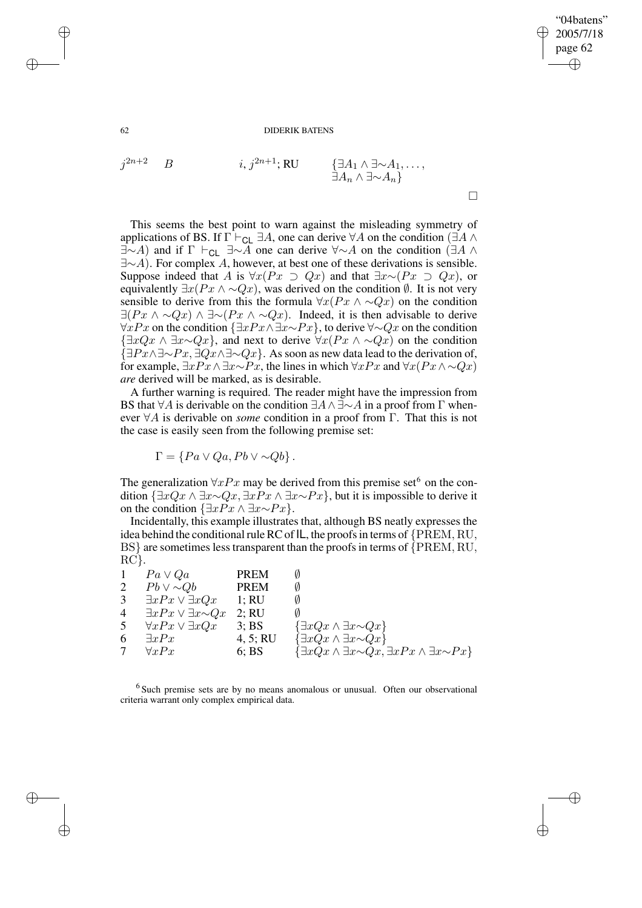✐

62 DIDERIK BATENS

$$
j^{2n+2}
$$
 B   
  $i, j^{2n+1}; \text{RU}$  { $\exists A_1 \land \exists \sim A_1, ...,$   
 $\exists A_n \land \exists \sim A_n$ }

This seems the best point to warn against the misleading symmetry of applications of BS. If  $\Gamma \vdash_{CL} \exists A$ , one can derive  $\forall A$  on the condition ( $\exists A \land \neg$  $\exists \sim A$ ) and if  $\Gamma \vdash_{\text{CL}} \exists \sim A$  one can derive  $\forall \sim A$  on the condition ( $\exists A \land \neg$ ∃∼A). For complex A, however, at best one of these derivations is sensible. Suppose indeed that A is  $\forall x (Px \supset Qx)$  and that  $\exists x \sim (Px \supset Qx)$ , or equivalently  $\exists x(Px \land \sim Qx)$ , was derived on the condition  $\emptyset$ . It is not very sensible to derive from this the formula  $\forall x(Px \land \sim Qx)$  on the condition  $\exists (Px \land \neg Qx) \land \exists \neg (Px \land \neg Qx)$ . Indeed, it is then advisable to derive  $\forall xPx$  on the condition  $\{\exists xPx \land \exists x \sim Px\}$ , to derive  $\forall \sim Qx$  on the condition  $\{\exists xQx \wedge \exists x \sim Qx\}$ , and next to derive  $\forall x(Px \wedge \sim Qx)$  on the condition  $\{\exists Px \wedge \exists \neg Px, \exists Qx \wedge \exists \neg Qx\}.$  As soon as new data lead to the derivation of, for example,  $\exists xPx \land \exists x \sim Px$ , the lines in which  $\forall xPx$  and  $\forall x(Px \land \neg Qx)$ *are* derived will be marked, as is desirable.

A further warning is required. The reader might have the impression from BS that  $\forall A$  is derivable on the condition  $\exists A \land \exists \sim A$  in a proof from  $\Gamma$  whenever ∀A is derivable on *some* condition in a proof from Γ. That this is not the case is easily seen from the following premise set:

 $\Gamma = \{ Pa \vee Qa, Pb \vee \sim Qb \}.$ 

The generalization  $\forall xPx$  may be derived from this premise set<sup>6</sup> on the condition  $\{\exists xQx \land \exists x \sim Qx, \exists xPx \land \exists x \sim Px\}$ , but it is impossible to derive it on the condition  $\{\exists xPx \land \exists x \sim Px\}$ .

Incidentally, this example illustrates that, although BS neatly expresses the idea behind the conditional rule RC of  $IL$ , the proofs in terms of  ${PREM, RU}$ , BS} are sometimes less transparent than the proofs in terms of  ${PREM, RU}$ , RC}.

|                | $Pa \vee Qa$                          | <b>PREM</b> |                                                                                  |
|----------------|---------------------------------------|-------------|----------------------------------------------------------------------------------|
| $\overline{2}$ | $Pb \vee \sim Qb$                     | <b>PREM</b> |                                                                                  |
| 3              | $\exists x Px \vee \exists x Qx$      | 1:RU        |                                                                                  |
| 4              | $\exists x Px \vee \exists x \sim Qx$ | 2; RU       |                                                                                  |
| 5              | $\forall x Px \vee \exists x Qx$      | 3:BS        | $\{\exists xQx \wedge \exists x \sim Qx\}$                                       |
| 6              | $\exists x Px$                        | 4, 5; RU    | $\{\exists xQx \wedge \exists x \sim Qx\}$                                       |
|                | $\forall x Px$                        | 6; BS       | $\{\exists xQx \wedge \exists x \sim Qx, \exists xPx \wedge \exists x \sim Px\}$ |

 $6$  Such premise sets are by no means anomalous or unusual. Often our observational criteria warrant only complex empirical data.

✐

✐

✐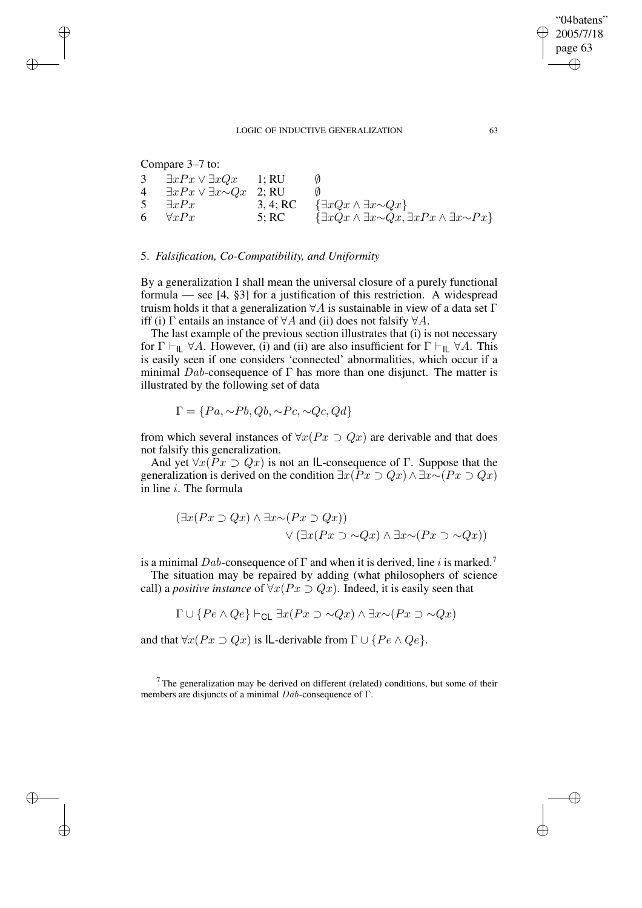### LOGIC OF INDUCTIVE GENERALIZATION 63

Compare 3–7 to:

✐

✐

✐

✐

| 3  | $\exists xPx \vee \exists xQx$ 1; RU        |          | <sub>0</sub>                                                                     |
|----|---------------------------------------------|----------|----------------------------------------------------------------------------------|
| 4  | $\exists x Px \vee \exists x \sim Qx$ 2; RU |          |                                                                                  |
| 5  | $\exists x Px$                              | 3, 4; RC | $\{\exists xQx \wedge \exists x \sim Qx\}$                                       |
| 6. | $\forall x Px$                              | 5; RC    | $\{\exists xQx \wedge \exists x \sim Qx, \exists xPx \wedge \exists x \sim Px\}$ |

## 5. *Falsification, Co-Compatibility, and Uniformity*

By a generalization I shall mean the universal closure of a purely functional formula — see [4, §3] for a justification of this restriction. A widespread truism holds it that a generalization  $\forall A$  is sustainable in view of a data set  $\Gamma$ iff (i)  $\Gamma$  entails an instance of  $\forall A$  and (ii) does not falsify  $\forall A$ .

The last example of the previous section illustrates that (i) is not necessary for  $\Gamma \vdash_{\mathsf{IL}} \forall A$ . However, (i) and (ii) are also insufficient for  $\Gamma \vdash_{\mathsf{IL}} \forall A$ . This is easily seen if one considers 'connected' abnormalities, which occur if a minimal Dab-consequence of  $\Gamma$  has more than one disjunct. The matter is illustrated by the following set of data

$$
\Gamma = \{Pa, \sim Pb, Qb, \sim Pc, \sim Qc, Qd\}
$$

from which several instances of  $\forall x (Px \supset Qx)$  are derivable and that does not falsify this generalization.

And yet  $\forall x (Px \supset Qx)$  is not an IL-consequence of Γ. Suppose that the generalization is derived on the condition  $\exists x(Px \supset Qx) \land \exists x \sim (Px \supset Qx)$ in line  $i$ . The formula

$$
(\exists x (Px \supset Qx) \land \exists x \sim (Px \supset Qx))
$$
  
 
$$
\lor (\exists x (Px \supset \sim Qx) \land \exists x \sim (Px \supset \sim Qx))
$$

is a minimal Dab-consequence of  $\Gamma$  and when it is derived, line i is marked.<sup>7</sup>

The situation may be repaired by adding (what philosophers of science call) a *positive instance* of  $\forall x (Px \supset Qx)$ . Indeed, it is easily seen that

$$
\Gamma \cup \{ Pe \wedge Qe \} \vdash_{\mathsf{CL}} \exists x (Px \supset \sim Qx) \wedge \exists x \sim (Px \supset \sim Qx)
$$

and that  $\forall x (Px \supset Qx)$  is IL-derivable from  $\Gamma \cup \{Pe \land Qe\}.$ 

 $7$ The generalization may be derived on different (related) conditions, but some of their members are disjuncts of a minimal  $Dab$ -consequence of Γ.

"04batens" 2005/7/18 page 63

✐

✐

✐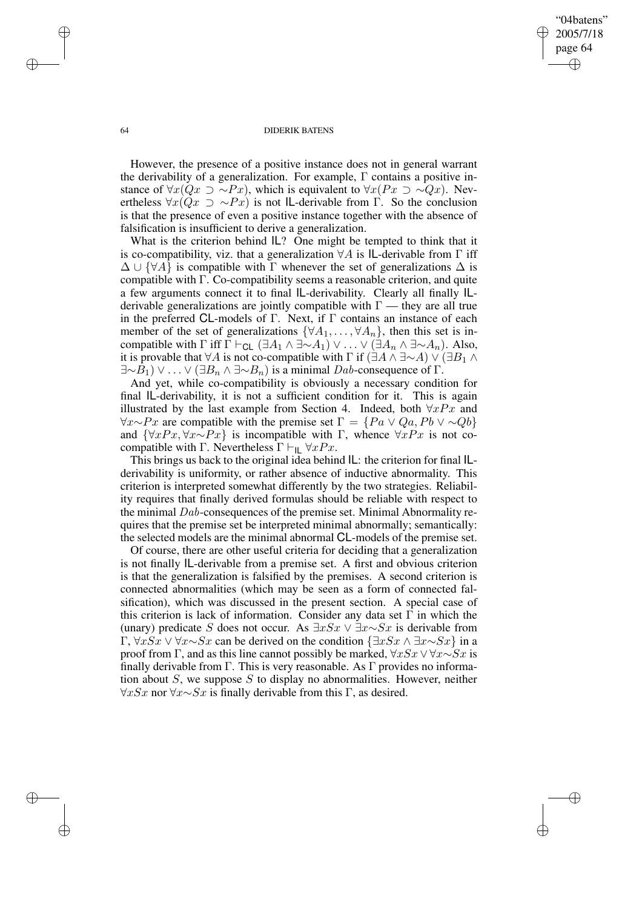## "04batens" 2005/7/18 page 64 ✐ ✐

✐

✐

### 64 DIDERIK BATENS

However, the presence of a positive instance does not in general warrant the derivability of a generalization. For example,  $\Gamma$  contains a positive instance of  $\forall x(Qx \supset \sim Px)$ , which is equivalent to  $\forall x(Px \supset \sim Qx)$ . Nevertheless  $\forall x(Qx \supset \sim Px)$  is not IL-derivable from Γ. So the conclusion is that the presence of even a positive instance together with the absence of falsification is insufficient to derive a generalization.

What is the criterion behind  $IL$ ? One might be tempted to think that it is co-compatibility, viz. that a generalization  $\forall A$  is IL-derivable from  $\Gamma$  iff  $\Delta \cup {\forall A}$  is compatible with Γ whenever the set of generalizations  $\Delta$  is compatible with Γ. Co-compatibility seems a reasonable criterion, and quite a few arguments connect it to final IL-derivability. Clearly all finally ILderivable generalizations are jointly compatible with  $\Gamma$  — they are all true in the preferred CL-models of Γ. Next, if Γ contains an instance of each member of the set of generalizations  $\{\forall A_1, \ldots, \forall A_n\}$ , then this set is incompatible with  $\Gamma$  iff  $\Gamma \vdash_{\mathsf{CL}} (\exists A_1 \land \exists \sim A_1) \lor \dots \lor (\exists A_n \land \exists \sim A_n)$ . Also, it is provable that  $\forall A$  is not co-compatible with  $\Gamma$  if  $(\exists A \land \exists \sim A) \lor (\exists B_1 \land \exists \sim A)$  $\exists \sim B_1$ ) ∨ ... ∨ ( $\exists B_n \land \exists \sim B_n$ ) is a minimal Dab-consequence of  $\Gamma$ .

And yet, while co-compatibility is obviously a necessary condition for final IL-derivability, it is not a sufficient condition for it. This is again illustrated by the last example from Section 4. Indeed, both  $\forall x Px$  and  $\forall x \sim Px$  are compatible with the premise set  $\Gamma = \{Pa \lor Qa, Pb \lor \sim Qb\}$ and  $\{\forall xPx, \forall x \sim Px\}$  is incompatible with Γ, whence  $\forall xPx$  is not cocompatible with Γ. Nevertheless  $\Gamma \vdash_{\mathsf{IL}} \forall x Px$ .

This brings us back to the original idea behind IL: the criterion for final ILderivability is uniformity, or rather absence of inductive abnormality. This criterion is interpreted somewhat differently by the two strategies. Reliability requires that finally derived formulas should be reliable with respect to the minimal Dab-consequences of the premise set. Minimal Abnormality requires that the premise set be interpreted minimal abnormally; semantically: the selected models are the minimal abnormal CL-models of the premise set.

Of course, there are other useful criteria for deciding that a generalization is not finally IL-derivable from a premise set. A first and obvious criterion is that the generalization is falsified by the premises. A second criterion is connected abnormalities (which may be seen as a form of connected falsification), which was discussed in the present section. A special case of this criterion is lack of information. Consider any data set  $\Gamma$  in which the (unary) predicate S does not occur. As  $\exists x Sx \lor \exists x \sim Sx$  is derivable from Γ,  $\forall x Sx \lor \forall x \sim Sx$  can be derived on the condition  $\{\exists x Sx \land \exists x \sim Sx\}$  in a proof from Γ, and as this line cannot possibly be marked,  $\forall x Sx \lor \forall x \sim Sx$  is finally derivable from Γ. This is very reasonable. As Γ provides no information about  $S$ , we suppose S to display no abnormalities. However, neither  $\forall x Sx$  nor  $\forall x \sim Sx$  is finally derivable from this Γ, as desired.

✐

✐

✐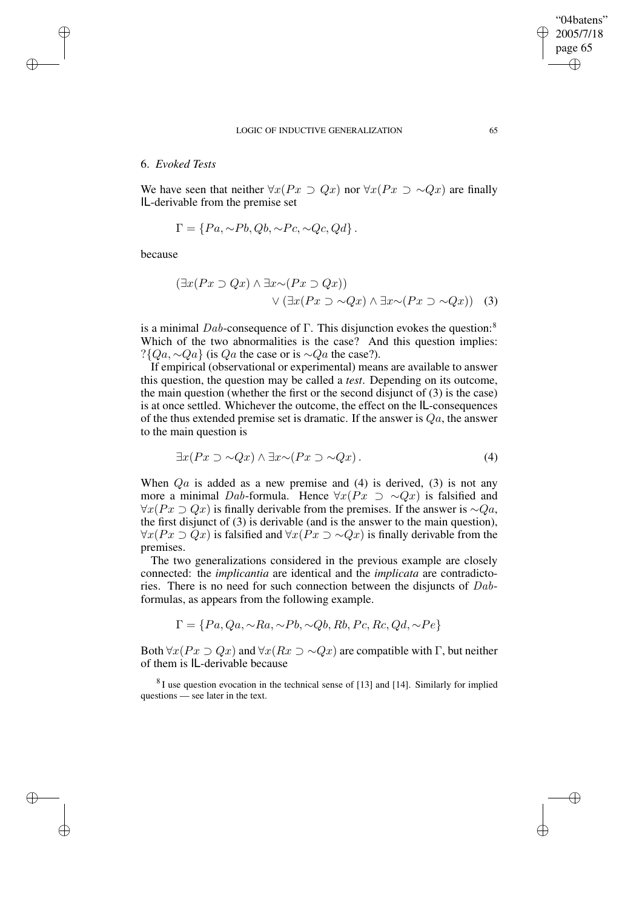### LOGIC OF INDUCTIVE GENERALIZATION 65

## 6. *Evoked Tests*

We have seen that neither  $\forall x (Px \supset Qx)$  nor  $\forall x (Px \supset \sim Qx)$  are finally IL-derivable from the premise set

$$
\Gamma = \{Pa, \sim Pb, Qb, \sim Pc, \sim Qc, Qd\}.
$$

because

✐

✐

✐

✐

$$
(\exists x (Px \supset Qx) \land \exists x \sim (Px \supset Qx))
$$
  
 
$$
\lor (\exists x (Px \supset \sim Qx) \land \exists x \sim (Px \supset \sim Qx))
$$
 (3)

is a minimal Dab-consequence of Γ. This disjunction evokes the question:<sup>8</sup> Which of the two abnormalities is the case? And this question implies:  $?$ { $Qa, \sim Qa$ } (is  $Qa$  the case or is  $\sim Qa$  the case?).

If empirical (observational or experimental) means are available to answer this question, the question may be called a *test*. Depending on its outcome, the main question (whether the first or the second disjunct of (3) is the case) is at once settled. Whichever the outcome, the effect on the IL-consequences of the thus extended premise set is dramatic. If the answer is  $Qa$ , the answer to the main question is

$$
\exists x (Px \supset \sim Qx) \land \exists x \sim (Px \supset \sim Qx). \tag{4}
$$

When  $Qa$  is added as a new premise and (4) is derived, (3) is not any more a minimal Dab-formula. Hence  $\forall x (Px \supset \sim Qx)$  is falsified and  $\forall x (Px \supset Qx)$  is finally derivable from the premises. If the answer is ∼ $Qa$ , the first disjunct of (3) is derivable (and is the answer to the main question),  $\forall x (Px \supset Qx)$  is falsified and  $\forall x (Px \supset \sim Qx)$  is finally derivable from the premises.

The two generalizations considered in the previous example are closely connected: the *implicantia* are identical and the *implicata* are contradictories. There is no need for such connection between the disjuncts of Dabformulas, as appears from the following example.

$$
\Gamma = \{Pa, Qa, \sim Ra, \sim Pb, \sim Qb, Rb, Pc, Rc, Qd, \sim Pe\}
$$

Both  $\forall x (Px \supset Qx)$  and  $\forall x (Rx \supset \sim Qx)$  are compatible with Γ, but neither of them is IL-derivable because

 $8$ I use question evocation in the technical sense of [13] and [14]. Similarly for implied questions — see later in the text.

"04batens" 2005/7/18 page 65

✐

✐

✐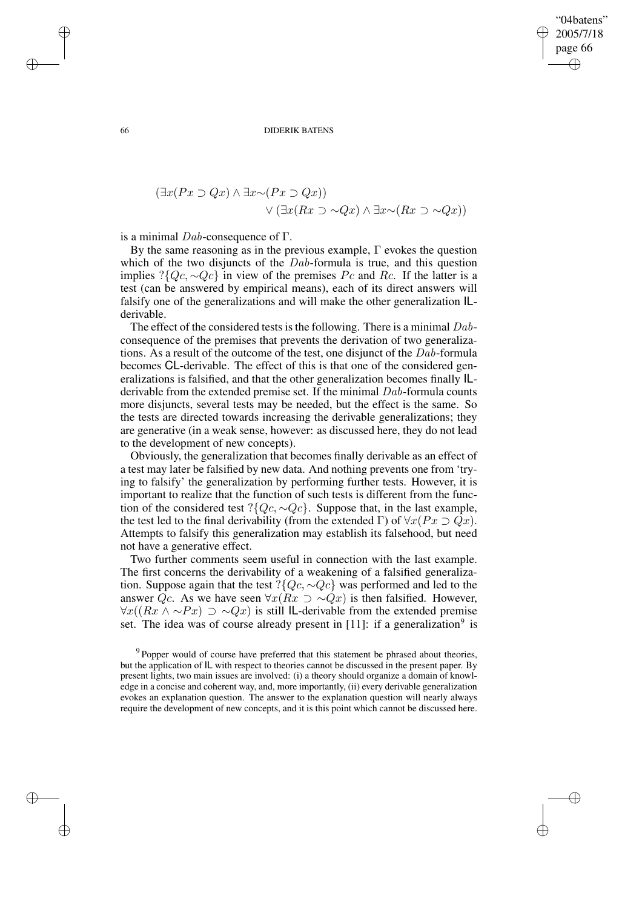"04batens" 2005/7/18 page 66 ✐ ✐

✐

✐

66 DIDERIK BATENS

$$
(\exists x (Px \supset Qx) \land \exists x \sim (Px \supset Qx))
$$
  
 
$$
\lor (\exists x (Rx \supset \sim Qx) \land \exists x \sim (Rx \supset \sim Qx))
$$

is a minimal  $Dab$ -consequence of  $\Gamma$ .

By the same reasoning as in the previous example,  $\Gamma$  evokes the question which of the two disjuncts of the *Dab*-formula is true, and this question implies ?{ $Qc, \sim Qc$ } in view of the premises Pc and Rc. If the latter is a test (can be answered by empirical means), each of its direct answers will falsify one of the generalizations and will make the other generalization ILderivable.

The effect of the considered tests is the following. There is a minimal  $Dab$ consequence of the premises that prevents the derivation of two generalizations. As a result of the outcome of the test, one disjunct of the Dab-formula becomes CL-derivable. The effect of this is that one of the considered generalizations is falsified, and that the other generalization becomes finally ILderivable from the extended premise set. If the minimal Dab-formula counts more disjuncts, several tests may be needed, but the effect is the same. So the tests are directed towards increasing the derivable generalizations; they are generative (in a weak sense, however: as discussed here, they do not lead to the development of new concepts).

Obviously, the generalization that becomes finally derivable as an effect of a test may later be falsified by new data. And nothing prevents one from 'trying to falsify' the generalization by performing further tests. However, it is important to realize that the function of such tests is different from the function of the considered test ?{ $Qc, \sim Qc$ }. Suppose that, in the last example, the test led to the final derivability (from the extended Γ) of  $\forall x (Px \supset Qx)$ . Attempts to falsify this generalization may establish its falsehood, but need not have a generative effect.

Two further comments seem useful in connection with the last example. The first concerns the derivability of a weakening of a falsified generalization. Suppose again that the test ?{ $Qc, \sim Qc$ } was performed and led to the answer  $Qc$ . As we have seen  $\forall x(Rx \supset \sim Qx)$  is then falsified. However,  $\forall x((Rx \land \sim Px) \supset \sim Qx)$  is still IL-derivable from the extended premise set. The idea was of course already present in [11]: if a generalization<sup>9</sup> is

 $\rightarrow$ 

 $\rightarrow$ 

✐

 $9$  Popper would of course have preferred that this statement be phrased about theories, but the application of IL with respect to theories cannot be discussed in the present paper. By present lights, two main issues are involved: (i) a theory should organize a domain of knowledge in a concise and coherent way, and, more importantly, (ii) every derivable generalization evokes an explanation question. The answer to the explanation question will nearly always require the development of new concepts, and it is this point which cannot be discussed here.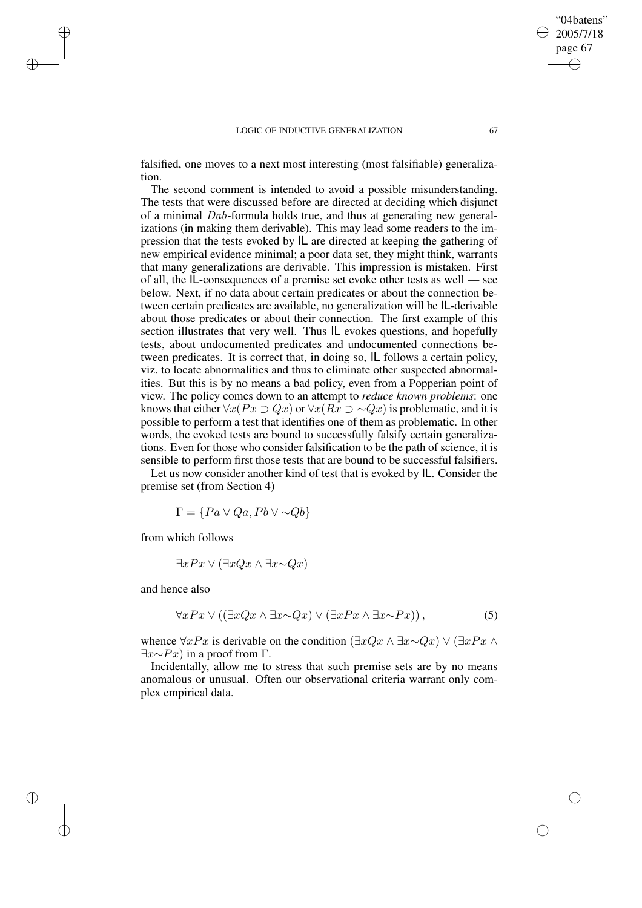### LOGIC OF INDUCTIVE GENERALIZATION 67

falsified, one moves to a next most interesting (most falsifiable) generalization.

The second comment is intended to avoid a possible misunderstanding. The tests that were discussed before are directed at deciding which disjunct of a minimal Dab-formula holds true, and thus at generating new generalizations (in making them derivable). This may lead some readers to the impression that the tests evoked by IL are directed at keeping the gathering of new empirical evidence minimal; a poor data set, they might think, warrants that many generalizations are derivable. This impression is mistaken. First of all, the IL-consequences of a premise set evoke other tests as well — see below. Next, if no data about certain predicates or about the connection between certain predicates are available, no generalization will be IL-derivable about those predicates or about their connection. The first example of this section illustrates that very well. Thus IL evokes questions, and hopefully tests, about undocumented predicates and undocumented connections between predicates. It is correct that, in doing so, IL follows a certain policy, viz. to locate abnormalities and thus to eliminate other suspected abnormalities. But this is by no means a bad policy, even from a Popperian point of view. The policy comes down to an attempt to *reduce known problems*: one knows that either  $\forall x (Px \supset Qx)$  or  $\forall x (Rx \supset \sim Qx)$  is problematic, and it is possible to perform a test that identifies one of them as problematic. In other words, the evoked tests are bound to successfully falsify certain generalizations. Even for those who consider falsification to be the path of science, it is sensible to perform first those tests that are bound to be successful falsifiers.

Let us now consider another kind of test that is evoked by IL. Consider the premise set (from Section 4)

 $\Gamma = \{Pa \vee Qa, Pb \vee \sim Qb\}$ 

from which follows

$$
\exists x Px \lor (\exists x Qx \land \exists x \sim Qx)
$$

and hence also

 $\rightarrow$ 

 $\rightarrow$ 

✐

✐

$$
\forall x P x \lor ((\exists x Q x \land \exists x \sim Q x) \lor (\exists x P x \land \exists x \sim P x)), \tag{5}
$$

whence ∀xPx is derivable on the condition (∃xQx ∧ ∃x∼Qx) ∨ (∃xPx ∧  $\exists x \sim Px$ ) in a proof from  $\Gamma$ .

Incidentally, allow me to stress that such premise sets are by no means anomalous or unusual. Often our observational criteria warrant only complex empirical data.

"04batens" 2005/7/18 page 67

✐

✐

✐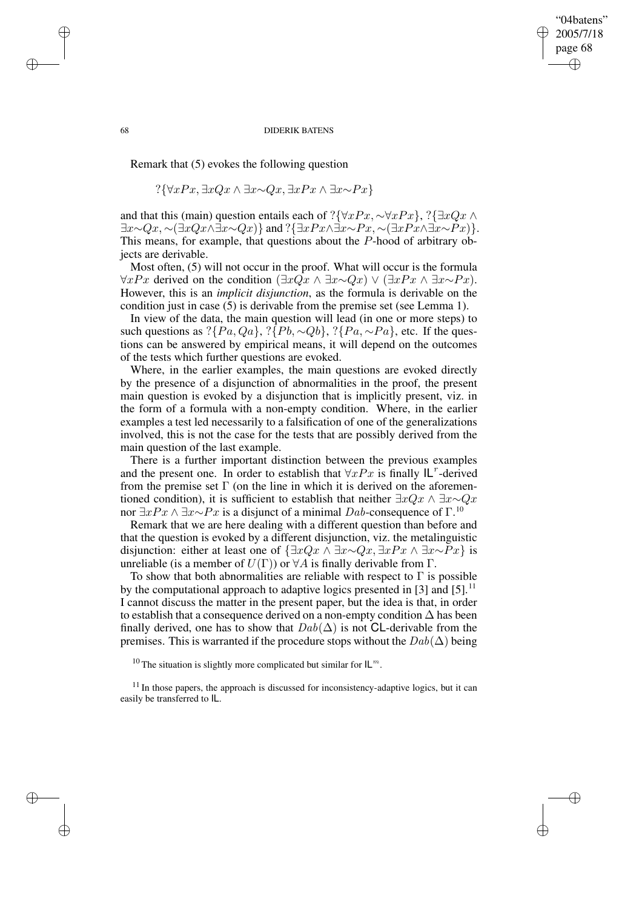## "04batens" 2005/7/18 page 68 ✐ ✐

✐

✐

### 68 DIDERIK BATENS

Remark that (5) evokes the following question

$$
?\{\forall xPx, \exists xQx \land \exists x \sim Qx, \exists xPx \land \exists x \sim Px\}
$$

and that this (main) question entails each of ?{∀xPx, ∼∀xPx}, ?{∃xQx ∧  $\exists x \sim Qx, \sim (\exists xQx \land \exists x \sim Qx) \}$  and  $?\{\exists xPx \land \exists x \sim Px, \sim (\exists xPx \land \exists x \sim Px)\}.$ This means, for example, that questions about the P-hood of arbitrary objects are derivable.

Most often, (5) will not occur in the proof. What will occur is the formula  $\forall xPx$  derived on the condition  $(\exists xQx \land \exists x \sim Qx) \lor (\exists xPx \land \exists x \sim Px)$ . However, this is an *implicit disjunction*, as the formula is derivable on the condition just in case (5) is derivable from the premise set (see Lemma 1).

In view of the data, the main question will lead (in one or more steps) to such questions as ? $\{Pa, Qa\}$ , ? $\{Pb, \sim Qb\}$ , ? $\{Pa, \sim Pa\}$ , etc. If the questions can be answered by empirical means, it will depend on the outcomes of the tests which further questions are evoked.

Where, in the earlier examples, the main questions are evoked directly by the presence of a disjunction of abnormalities in the proof, the present main question is evoked by a disjunction that is implicitly present, viz. in the form of a formula with a non-empty condition. Where, in the earlier examples a test led necessarily to a falsification of one of the generalizations involved, this is not the case for the tests that are possibly derived from the main question of the last example.

There is a further important distinction between the previous examples and the present one. In order to establish that  $\forall xPx$  is finally  $|L^r$ -derived from the premise set  $\Gamma$  (on the line in which it is derived on the aforementioned condition), it is sufficient to establish that neither  $\exists x Qx \land \exists x \sim Qx$ nor  $\exists x Px \land \exists x \sim Px$  is a disjunct of a minimal  $Dab$ -consequence of  $\Gamma$ .<sup>10</sup>

Remark that we are here dealing with a different question than before and that the question is evoked by a different disjunction, viz. the metalinguistic disjunction: either at least one of  $\{\exists xQx \land \exists x \sim Qx, \exists xPx \land \exists x \sim Px\}$  is unreliable (is a member of  $U(\Gamma)$ ) or  $\forall A$  is finally derivable from  $\Gamma$ .

To show that both abnormalities are reliable with respect to  $\Gamma$  is possible by the computational approach to adaptive logics presented in [3] and [5].<sup>11</sup> I cannot discuss the matter in the present paper, but the idea is that, in order to establish that a consequence derived on a non-empty condition  $\Delta$  has been finally derived, one has to show that  $Dab(\Delta)$  is not CL-derivable from the premises. This is warranted if the procedure stops without the  $Dab(\Delta)$  being

<sup>10</sup> The situation is slightly more complicated but similar for  $\mathsf{IL}^m$ .

 $\rightarrow$ 

 $\rightarrow$ 

✐

 $11$  In those papers, the approach is discussed for inconsistency-adaptive logics, but it can easily be transferred to IL.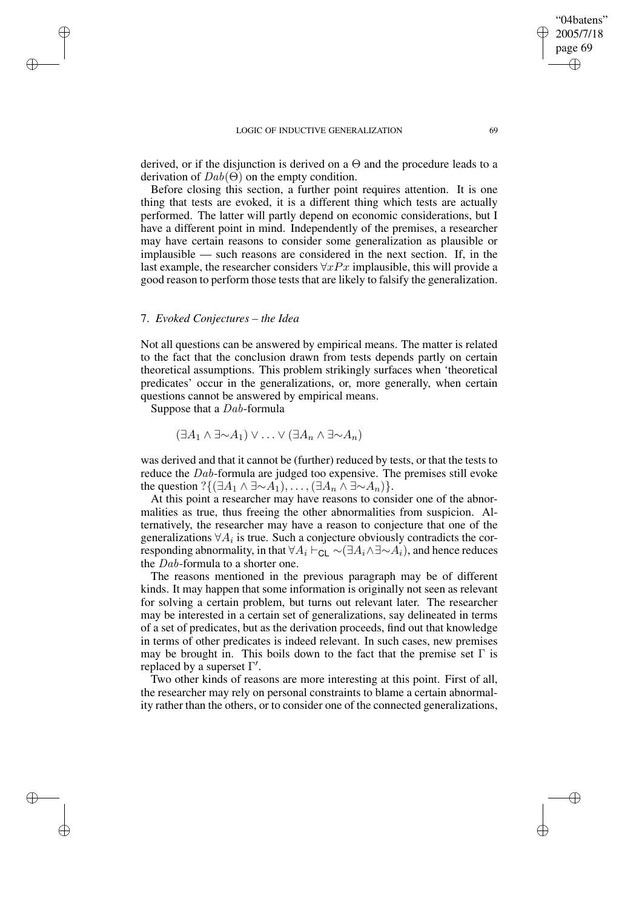### LOGIC OF INDUCTIVE GENERALIZATION 69

derived, or if the disjunction is derived on a  $\Theta$  and the procedure leads to a derivation of  $Dab(\Theta)$  on the empty condition.

Before closing this section, a further point requires attention. It is one thing that tests are evoked, it is a different thing which tests are actually performed. The latter will partly depend on economic considerations, but I have a different point in mind. Independently of the premises, a researcher may have certain reasons to consider some generalization as plausible or implausible — such reasons are considered in the next section. If, in the last example, the researcher considers  $\forall xPx$  implausible, this will provide a good reason to perform those tests that are likely to falsify the generalization.

## 7. *Evoked Conjectures – the Idea*

 $\rightarrow$ 

 $\rightarrow$ 

✐

✐

Not all questions can be answered by empirical means. The matter is related to the fact that the conclusion drawn from tests depends partly on certain theoretical assumptions. This problem strikingly surfaces when 'theoretical predicates' occur in the generalizations, or, more generally, when certain questions cannot be answered by empirical means.

Suppose that a Dab-formula

$$
(\exists A_1 \wedge \exists \sim A_1) \vee \ldots \vee (\exists A_n \wedge \exists \sim A_n)
$$

was derived and that it cannot be (further) reduced by tests, or that the tests to reduce the Dab-formula are judged too expensive. The premises still evoke the question ? $\{(\exists A_1 \land \exists \sim A_1), \ldots, (\exists A_n \land \exists \sim A_n)\}.$ 

At this point a researcher may have reasons to consider one of the abnormalities as true, thus freeing the other abnormalities from suspicion. Alternatively, the researcher may have a reason to conjecture that one of the generalizations  $\forall A_i$  is true. Such a conjecture obviously contradicts the corresponding abnormality, in that  $\forall A_i \vdash_{\text{CL}} \sim (\exists A_i \land \exists \sim A_i)$ , and hence reduces the Dab-formula to a shorter one.

The reasons mentioned in the previous paragraph may be of different kinds. It may happen that some information is originally not seen as relevant for solving a certain problem, but turns out relevant later. The researcher may be interested in a certain set of generalizations, say delineated in terms of a set of predicates, but as the derivation proceeds, find out that knowledge in terms of other predicates is indeed relevant. In such cases, new premises may be brought in. This boils down to the fact that the premise set  $\Gamma$  is replaced by a superset  $\Gamma'.$ 

Two other kinds of reasons are more interesting at this point. First of all, the researcher may rely on personal constraints to blame a certain abnormality rather than the others, or to consider one of the connected generalizations,

"04batens" 2005/7/18 page 69

✐

✐

✐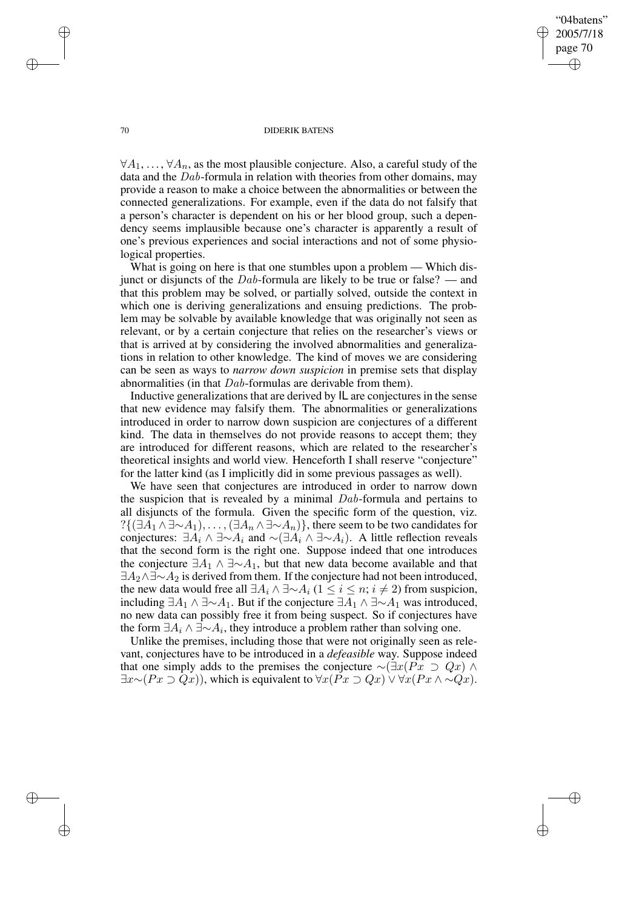"04batens" 2005/7/18 page 70 ✐ ✐

✐

✐

### 70 DIDERIK BATENS

 $\forall A_1, \ldots, \forall A_n$ , as the most plausible conjecture. Also, a careful study of the data and the Dab-formula in relation with theories from other domains, may provide a reason to make a choice between the abnormalities or between the connected generalizations. For example, even if the data do not falsify that a person's character is dependent on his or her blood group, such a dependency seems implausible because one's character is apparently a result of one's previous experiences and social interactions and not of some physiological properties.

What is going on here is that one stumbles upon a problem — Which disjunct or disjuncts of the  $Dab$ -formula are likely to be true or false? — and that this problem may be solved, or partially solved, outside the context in which one is deriving generalizations and ensuing predictions. The problem may be solvable by available knowledge that was originally not seen as relevant, or by a certain conjecture that relies on the researcher's views or that is arrived at by considering the involved abnormalities and generalizations in relation to other knowledge. The kind of moves we are considering can be seen as ways to *narrow down suspicion* in premise sets that display abnormalities (in that Dab-formulas are derivable from them).

Inductive generalizations that are derived by IL are conjectures in the sense that new evidence may falsify them. The abnormalities or generalizations introduced in order to narrow down suspicion are conjectures of a different kind. The data in themselves do not provide reasons to accept them; they are introduced for different reasons, which are related to the researcher's theoretical insights and world view. Henceforth I shall reserve "conjecture" for the latter kind (as I implicitly did in some previous passages as well).

We have seen that conjectures are introduced in order to narrow down the suspicion that is revealed by a minimal Dab-formula and pertains to all disjuncts of the formula. Given the specific form of the question, viz.  $?{\{\exists A_1 \wedge \exists \sim A_1), \ldots, (\exists A_n \wedge \exists \sim A_n)\}}$ , there seem to be two candidates for conjectures:  $\exists A_i \land \exists \sim A_i$  and  $\sim (\exists A_i \land \exists \sim A_i)$ . A little reflection reveals that the second form is the right one. Suppose indeed that one introduces the conjecture  $\exists A_1 \land \exists \sim A_1$ , but that new data become available and that  $\exists A_2 \land \exists \sim A_2$  is derived from them. If the conjecture had not been introduced, the new data would free all  $\exists A_i \land \exists \neg A_i$  (1 ≤ i ≤ n; i ≠ 2) from suspicion, including  $\exists A_1 \land \exists \sim A_1$ . But if the conjecture  $\exists A_1 \land \exists \sim A_1$  was introduced, no new data can possibly free it from being suspect. So if conjectures have the form  $\exists A_i \wedge \exists \sim A_i$ , they introduce a problem rather than solving one.

Unlike the premises, including those that were not originally seen as relevant, conjectures have to be introduced in a *defeasible* way. Suppose indeed that one simply adds to the premises the conjecture  $\sim (\exists x (Px \supset Qx) \land$  $\exists x \sim (Px \supset Qx)$ , which is equivalent to  $\forall x (Px \supset Qx) \vee \forall x (Px \wedge \sim Qx)$ .

 $\rightarrow$ 

 $\rightarrow$ 

✐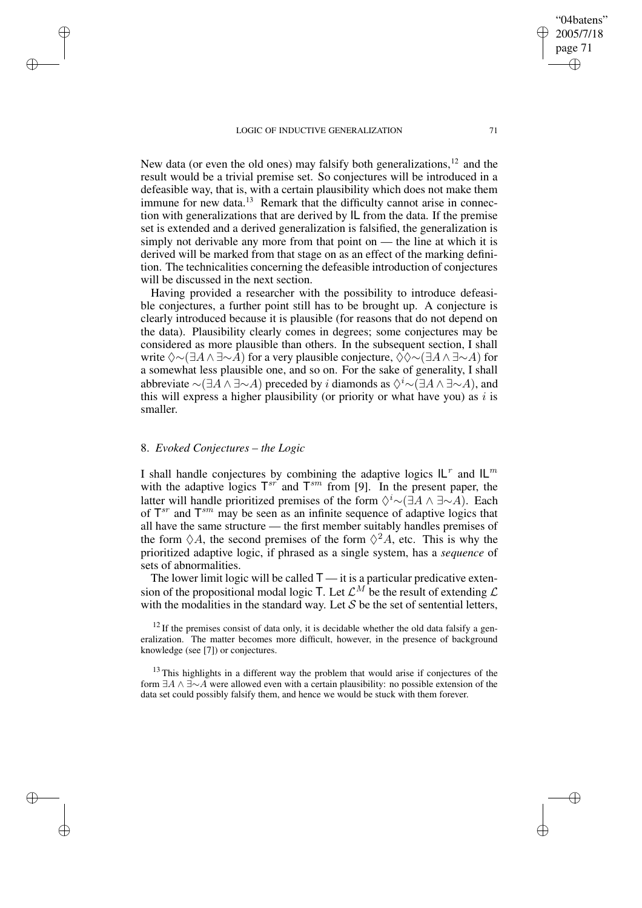New data (or even the old ones) may falsify both generalizations,  $12$  and the result would be a trivial premise set. So conjectures will be introduced in a defeasible way, that is, with a certain plausibility which does not make them immune for new data.<sup>13</sup> Remark that the difficulty cannot arise in connection with generalizations that are derived by IL from the data. If the premise set is extended and a derived generalization is falsified, the generalization is simply not derivable any more from that point on — the line at which it is derived will be marked from that stage on as an effect of the marking definition. The technicalities concerning the defeasible introduction of conjectures will be discussed in the next section.

Having provided a researcher with the possibility to introduce defeasible conjectures, a further point still has to be brought up. A conjecture is clearly introduced because it is plausible (for reasons that do not depend on the data). Plausibility clearly comes in degrees; some conjectures may be considered as more plausible than others. In the subsequent section, I shall write  $\Diamond \sim (\exists A \land \exists \sim A)$  for a very plausible conjecture,  $\Diamond \Diamond \sim (\exists A \land \exists \sim A)$  for a somewhat less plausible one, and so on. For the sake of generality, I shall abbreviate  $\sim (\exists A \land \exists \sim A)$  preceded by i diamonds as  $\Diamond^i \sim (\exists A \land \exists \sim A)$ , and this will express a higher plausibility (or priority or what have you) as i is smaller.

## 8. *Evoked Conjectures – the Logic*

 $\rightarrow$ 

 $\rightarrow$ 

✐

✐

I shall handle conjectures by combining the adaptive logics  $IL^r$  and  $IL^m$ with the adaptive logics  $T^{sr}$  and  $T^{sm}$  from [9]. In the present paper, the latter will handle prioritized premises of the form  $\Diamond^i \sim (\exists A \land \exists \sim A)$ . Each of  $T^{sr}$  and  $T^{sm}$  may be seen as an infinite sequence of adaptive logics that all have the same structure — the first member suitably handles premises of the form  $\Diamond A$ , the second premises of the form  $\Diamond^2 A$ , etc. This is why the prioritized adaptive logic, if phrased as a single system, has a *sequence* of sets of abnormalities.

The lower limit logic will be called  $T - i$  ti is a particular predicative extension of the propositional modal logic T. Let  $\mathcal{L}^M$  be the result of extending  $\mathcal L$ with the modalities in the standard way. Let  $S$  be the set of sentential letters,

 $12$  If the premises consist of data only, it is decidable whether the old data falsify a generalization. The matter becomes more difficult, however, in the presence of background knowledge (see [7]) or conjectures.

<sup>13</sup> This highlights in a different way the problem that would arise if conjectures of the form  $\exists A \wedge \exists \sim A$  were allowed even with a certain plausibility: no possible extension of the data set could possibly falsify them, and hence we would be stuck with them forever.

"04batens" 2005/7/18 page 71

✐

✐

✐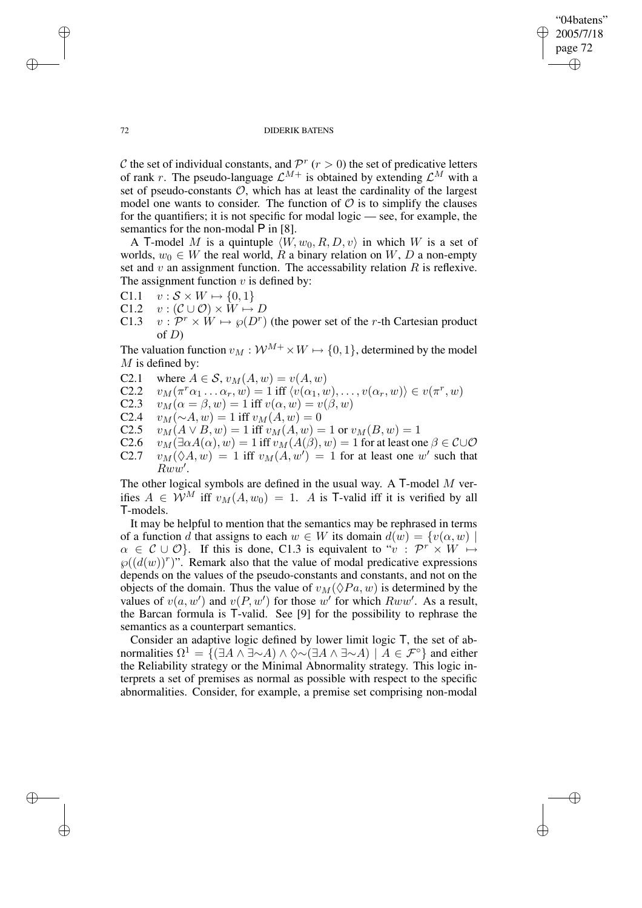"04batens" 2005/7/18 page 72 ✐ ✐

✐

✐

### 72 DIDERIK BATENS

C the set of individual constants, and  $\mathcal{P}^r$  ( $r > 0$ ) the set of predicative letters of rank r. The pseudo-language  $\mathcal{L}^{M+}$  is obtained by extending  $\mathcal{L}^{M}$  with a set of pseudo-constants  $\mathcal{O}$ , which has at least the cardinality of the largest model one wants to consider. The function of  $\mathcal O$  is to simplify the clauses for the quantifiers; it is not specific for modal logic — see, for example, the semantics for the non-modal  $\overline{P}$  in [8].

A T-model M is a quintuple  $\langle W, w_0, R, D, v \rangle$  in which W is a set of worlds,  $w_0 \in W$  the real world, R a binary relation on W, D a non-empty set and  $v$  an assignment function. The accessability relation  $R$  is reflexive. The assignment function  $v$  is defined by:

- C1.1  $v : \mathcal{S} \times W \mapsto \{0, 1\}$
- C1.2  $v : (\mathcal{C} \cup \mathcal{O}) \times W \mapsto D$
- C1.3  $v : \mathcal{P}^r \times W \mapsto \mathcal{P}(D^r)$  (the power set of the r-th Cartesian product of  $D$ )

The valuation function  $v_M : \mathcal{W}^{M+} \times W \mapsto \{0, 1\}$ , determined by the model  $M$  is defined by:

- C2.1 where  $A \in S$ ,  $v_M(A, w) = v(A, w)$ <br>C2.2  $v_M(\pi^r \alpha_1 \dots \alpha_r, w) = 1$  iff  $\langle v(\alpha_1, w) \rangle$
- C2.2  $v_M(\pi^r\alpha_1 \dots \alpha_r, w) = 1$  iff  $\langle v(\alpha_1, w), \dots, v(\alpha_r, w) \rangle \in v(\pi^r, w)$
- C2.3  $v_M(\alpha = \beta, w) = 1$  iff  $v(\alpha, w) = v(\beta, w)$ <br>C2.4  $v_M(\sim A, w) = 1$  iff  $v_M(A, w) = 0$
- C2.4  $v_M(\sim A, w) = 1$  iff  $v_M(A, w) = 0$ <br>C2.5  $v_M(A \vee B, w) = 1$  iff  $v_M(A, w) = 0$
- C2.5  $v_M(A \vee B, w) = 1$  iff  $v_M(A, w) = 1$  or  $v_M(B, w) = 1$ <br>C2.6  $v_M(\exists \alpha A(\alpha), w) = 1$  iff  $v_M(A(\beta), w) = 1$  for at least or
- C2.6  $v_M(\exists \alpha A(\alpha), w) = 1$  iff  $v_M(A(\beta), w) = 1$  for at least one  $\beta \in C \cup \mathcal{O}$ <br>C2.7  $v_M(\Diamond A, w) = 1$  iff  $v_M(A, w') = 1$  for at least one w' such that C2.7  $v_M(\Diamond A, w) = 1$  iff  $v_M(A, w') = 1$  for at least one w' such that  $Rww'.$

The other logical symbols are defined in the usual way. A  $\mathsf{T}\text{-model}$  M verifies  $A \in W^M$  iff  $v_M(A, w_0) = 1$ . A is T-valid iff it is verified by all T-models.

It may be helpful to mention that the semantics may be rephrased in terms of a function d that assigns to each  $w \in W$  its domain  $d(w) = \{v(\alpha, w) \mid$  $\alpha \in \mathcal{C} \cup \mathcal{O}$ . If this is done, C1.3 is equivalent to " $v : \mathcal{P}^r \times W \mapsto$  $\varphi((d(w))^r)$ ". Remark also that the value of modal predicative expressions depends on the values of the pseudo-constants and constants, and not on the objects of the domain. Thus the value of  $v_M(\Diamond Pa, w)$  is determined by the values of  $v(a, w')$  and  $v(P, w')$  for those w' for which  $Rww'$ . As a result, the Barcan formula is T-valid. See [9] for the possibility to rephrase the semantics as a counterpart semantics.

Consider an adaptive logic defined by lower limit logic T, the set of abnormalities  $\Omega^1 = \{ (\exists A \land \exists \sim A) \land \Diamond \sim (\exists A \land \exists \sim A) \mid A \in \mathcal{F}^\circ \}$  and either the Reliability strategy or the Minimal Abnormality strategy. This logic interprets a set of premises as normal as possible with respect to the specific abnormalities. Consider, for example, a premise set comprising non-modal

 $\rightarrow$ 

 $\rightarrow$ 

✐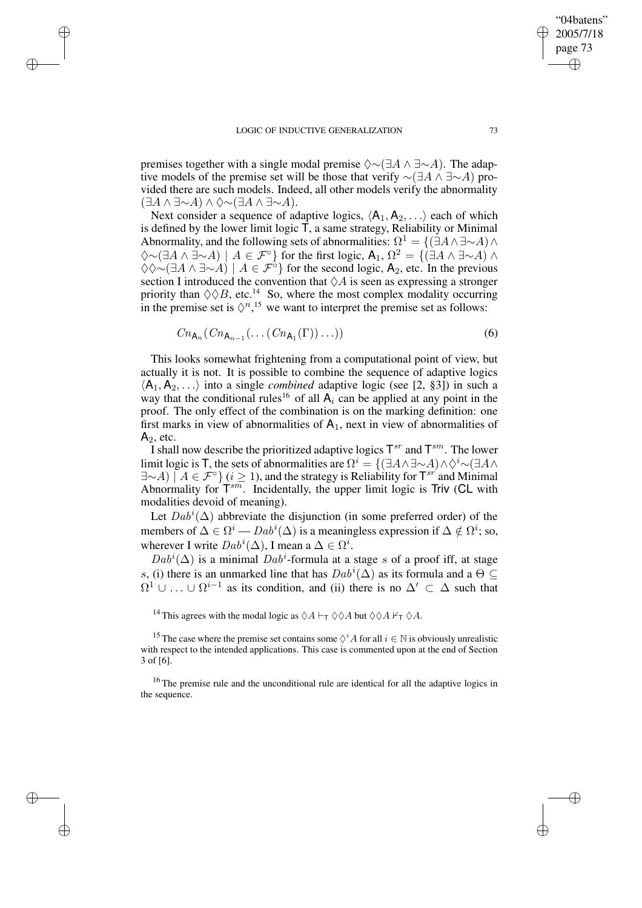$\rightarrow$ 

✐

✐

✐

premises together with a single modal premise  $\Diamond \sim (\exists A \land \exists \sim A)$ . The adaptive models of the premise set will be those that verify  $\sim$ ( $\exists A \wedge \exists \sim A$ ) provided there are such models. Indeed, all other models verify the abnormality  $(∃A ∧ ∃∼A) ∧ ♦∼(∃A ∧ ∃∼A).$ 

Next consider a sequence of adaptive logics,  $\langle A_1, A_2, \ldots \rangle$  each of which is defined by the lower limit logic T, a same strategy, Reliability or Minimal Abnormality, and the following sets of abnormalities:  $\Omega^1 = \{(\exists A \wedge \exists \sim A) \wedge \}$  $\diamondsuit$ ~ $(\exists A \land \exists \sim A) \mid A \in \mathcal{F}^{\circ}$  for the first logic,  $\mathsf{A}_1, \Omega^2 = \{(\exists A \land \exists \sim A) \land \Pi(\exists A) \in \mathcal{F}^{\circ}\}\$  $\Diamond \Diamond \sim (\exists A \land \exists \sim A) \mid A \in \mathcal{F}^{\circ}$  for the second logic, A<sub>2</sub>, etc. In the previous section I introduced the convention that  $\Diamond A$  is seen as expressing a stronger priority than  $\Diamond \Diamond B$ , etc.<sup>14</sup> So, where the most complex modality occurring in the premise set is  $\Diamond^{n}$ ,<sup>15</sup> we want to interpret the premise set as follows:

$$
Cn_{\mathsf{A}_n}(Cn_{\mathsf{A}_{n-1}}(\ldots(Cn_{\mathsf{A}_1}(\Gamma))\ldots))\tag{6}
$$

This looks somewhat frightening from a computational point of view, but actually it is not. It is possible to combine the sequence of adaptive logics  $\langle A_1, A_2, \ldots \rangle$  into a single *combined* adaptive logic (see [2, §3]) in such a way that the conditional rules<sup>16</sup> of all  $A_i$  can be applied at any point in the proof. The only effect of the combination is on the marking definition: one first marks in view of abnormalities of  $A_1$ , next in view of abnormalities of  $A_2$ , etc.

I shall now describe the prioritized adaptive logics  $T^{sr}$  and  $T^{sm}$ . The lower limit logic is T, the sets of abnormalities are  $\Omega^i = \{(\exists A \wedge \exists \sim A) \wedge \Diamond^i \sim (\exists A \wedge \Diamond^i \wedge \Box^i A)$  $\exists \sim A$ )  $\mid A \in \mathcal{F}^{\circ}\}$  ( $i \geq 1$ ), and the strategy is Reliability for  $T^{sr}$  and Minimal Abnormality for  $T^{sm}$ . Incidentally, the upper limit logic is Triv (CL with modalities devoid of meaning).

Let  $Dab^i(\Delta)$  abbreviate the disjunction (in some preferred order) of the members of  $\Delta \in \Omega^i - D a b^i(\Delta)$  is a meaningless expression if  $\Delta \notin \Omega^i$ ; so, wherever I write  $Dab^i(\Delta)$ , I mean a  $\Delta \in \Omega^i$ .

 $Dab^i(\Delta)$  is a minimal  $Dab^i$ -formula at a stage s of a proof iff, at stage s, (i) there is an unmarked line that has  $Dab^i(\Delta)$  as its formula and a  $\Theta \subseteq$  $\Omega^1 \cup \ldots \cup \Omega^{i-1}$  as its condition, and (ii) there is no  $\Delta' \subset \Delta$  such that

<sup>14</sup> This agrees with the modal logic as  $\Diamond A \vdash_{\mathsf{T}} \Diamond \Diamond A$  but  $\Diamond \Diamond A \nvdash_{\mathsf{T}} \Diamond A$ .

<sup>15</sup> The case where the premise set contains some  $\Diamond^i A$  for all  $i \in \mathbb{N}$  is obviously unrealistic with respect to the intended applications. This case is commented upon at the end of Section 3 of [6].

<sup>16</sup> The premise rule and the unconditional rule are identical for all the adaptive logics in the sequence.

"04batens" 2005/7/18 page 73

✐

✐

✐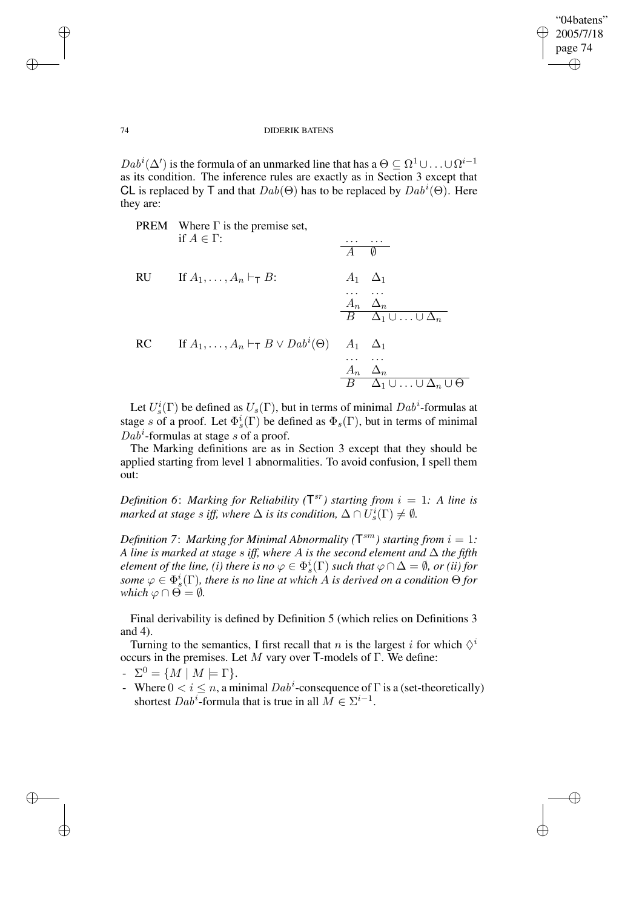✐

### 74 DIDERIK BATENS

 $Dab^i(\Delta')$  is the formula of an unmarked line that has a  $\Theta \subseteq \Omega^1 \cup ... \cup \Omega^{i-1}$ as its condition. The inference rules are exactly as in Section 3 except that CL is replaced by T and that  $Dab(\Theta)$  has to be replaced by  $Dab^i(\Theta)$ . Here they are:

|    | <b>PREM</b> Where $\Gamma$ is the premise set,<br>if $A \in \Gamma$ :   |                               | Ø                                                                                      |
|----|-------------------------------------------------------------------------|-------------------------------|----------------------------------------------------------------------------------------|
| RU | If $A_1, \ldots, A_n \vdash_{\mathsf{T}} B$ :                           |                               | $A_1 \quad \Delta_1$<br>$A_n \Delta_n$<br>$B \quad \Delta_1 \cup \ldots \cup \Delta_n$ |
| RC | If $A_1, \ldots, A_n \vdash_{\mathsf{T}} B \vee \textit{Dab}^i(\Theta)$ | $A_1 \quad \Delta_1$<br>$A_n$ | $\Delta_n$<br>$B \Delta_1 \cup \ldots \cup \Delta_n \cup \Theta$                       |

Let  $U_s^i(\Gamma)$  be defined as  $U_s(\Gamma)$ , but in terms of minimal  $Dab^i$ -formulas at stage s of a proof. Let  $\Phi_s^i(\Gamma)$  be defined as  $\Phi_s(\Gamma)$ , but in terms of minimal  $Dab^i$ -formulas at stage s of a proof.

The Marking definitions are as in Section 3 except that they should be applied starting from level 1 abnormalities. To avoid confusion, I spell them out:

*Definition* 6: *Marking for Reliability*  $(T^{sr})$  *starting from*  $i = 1$ *: A line is marked at stage s iff, where*  $\Delta$  *is its condition,*  $\Delta \cap U_s^i(\Gamma) \neq \emptyset$ .

*Definition* 7: *Marking for Minimal Abnormality*  $(T^{sm})$  *starting from*  $i = 1$ *: A line is marked at stage* s *iff, where* A *is the second element and* ∆ *the fifth element of the line, (i) there is no*  $\varphi \in \Phi_s^i(\Gamma)$  *such that*  $\varphi \cap \Delta = \emptyset$ *, or (ii) for*  $s$ *ome*  $\varphi \in \Phi_s^i(\Gamma)$ , *there is no line at which A is derived on a condition*  $\Theta$  *for which*  $\varphi \cap \Theta = \emptyset$ *.* 

Final derivability is defined by Definition 5 (which relies on Definitions 3 and 4).

Turning to the semantics, I first recall that *n* is the largest *i* for which  $\Diamond$ <sup>*i*</sup> occurs in the premises. Let M vary over T-models of Γ. We define:

- $\Sigma^0 = \{ M \mid M \models \Gamma \}.$
- Where  $0 < i \leq n$ , a minimal  $Dab^i$ -consequence of  $\Gamma$  is a (set-theoretically) shortest  $Dab^i$ -formula that is true in all  $M \in \Sigma^{i-1}$ .

✐

✐

✐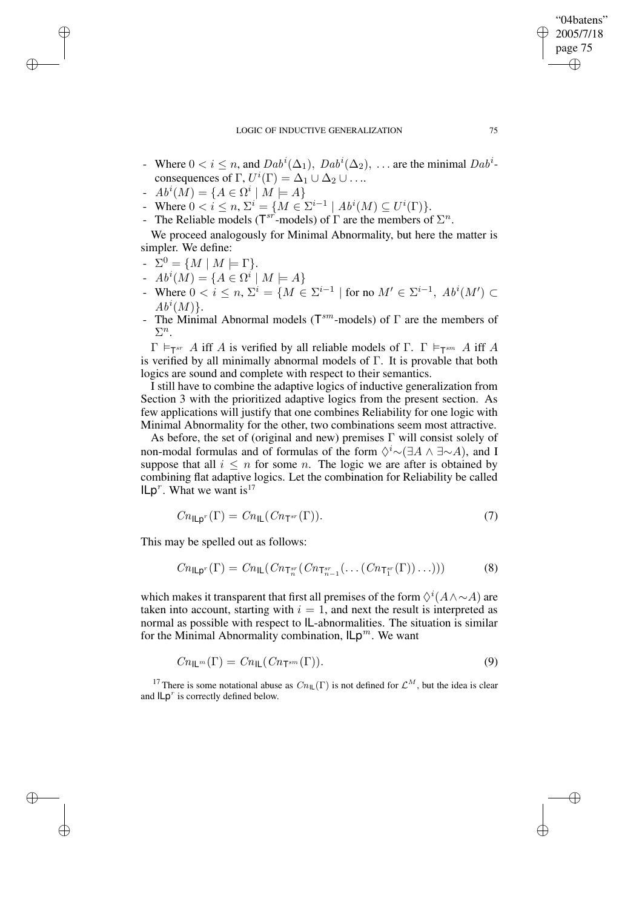- Where  $0 < i \leq n$ , and  $Dab^i(\Delta_1)$ ,  $Dab^i(\Delta_2)$ , ... are the minimal  $Dab^i$ consequences of  $\Gamma$ ,  $U^i(\Gamma) = \Delta_1 \cup \Delta_2 \cup \ldots$
- $Ab^{i}(M) = \{ A \in \Omega^{i} | M \models A \}$
- Where  $0 < i \le n$ ,  $\Sigma^i = \{ M \in \Sigma^{i-1} \mid Ab^i(M) \subseteq U^i(\Gamma) \}.$
- The Reliable models ( $T^{sr}$ -models) of  $\Gamma$  are the members of  $\Sigma^n$ .

We proceed analogously for Minimal Abnormality, but here the matter is simpler. We define:

 $\Sigma^0 = \{ M \mid M \models \Gamma \}.$ 

✐

✐

✐

✐

- $Ab^{i}(M) = \{ A \in \Omega^{i} | M \models A \}$
- Where  $0 < i \leq n$ ,  $\Sigma^{i} = \{ M \in \Sigma^{i-1} \mid \text{for no } M' \in \Sigma^{i-1}, Ab^{i}(M') \subset$  $Ab^i(M)$ .
- The Minimal Abnormal models ( $T^{sm}$ -models) of  $\Gamma$  are the members of  $\Sigma^n$ .

 $\Gamma \models_{\mathsf{T}^{sr}} A$  iff A is verified by all reliable models of  $\Gamma$ .  $\Gamma \models_{\mathsf{T}^{sm}} A$  iff A is verified by all minimally abnormal models of Γ. It is provable that both logics are sound and complete with respect to their semantics.

I still have to combine the adaptive logics of inductive generalization from Section 3 with the prioritized adaptive logics from the present section. As few applications will justify that one combines Reliability for one logic with Minimal Abnormality for the other, two combinations seem most attractive.

As before, the set of (original and new) premises  $\Gamma$  will consist solely of non-modal formulas and of formulas of the form  $\Diamond^i \sim (\exists A \land \exists \sim A)$ , and I suppose that all  $i \leq n$  for some n. The logic we are after is obtained by combining flat adaptive logics. Let the combination for Reliability be called  $I L p<sup>r</sup>$ . What we want is<sup>17</sup>

$$
Cn_{\mathsf{ILp}^r}(\Gamma) = Cn_{\mathsf{IL}}(Cn_{\mathsf{T}^{sr}}(\Gamma)).\tag{7}
$$

This may be spelled out as follows:

$$
Cn_{\mathsf{ILp}^r}(\Gamma) = Cn_{\mathsf{IL}}(Cn_{\mathsf{T}_n^{sr}}(Cn_{\mathsf{T}_{n-1}^{sr}}(\ldots(Cn_{\mathsf{T}_1^{sr}}(\Gamma))\ldots)))
$$
\n(8)

which makes it transparent that first all premises of the form  $\Diamond^i(A \wedge \sim A)$  are taken into account, starting with  $i = 1$ , and next the result is interpreted as normal as possible with respect to IL-abnormalities. The situation is similar for the Minimal Abnormality combination,  $\mathsf{Lp}^m$ . We want

$$
Cn_{\mathsf{IL}^m}(\Gamma) = Cn_{\mathsf{IL}}(Cn_{\mathsf{T}^{sm}}(\Gamma)).\tag{9}
$$

<sup>17</sup> There is some notational abuse as  $Cn_{\text{IL}}(\Gamma)$  is not defined for  $\mathcal{L}^M$ , but the idea is clear and  $ILp<sup>r</sup>$  is correctly defined below.

"04batens" 2005/7/18 page 75

✐

✐

✐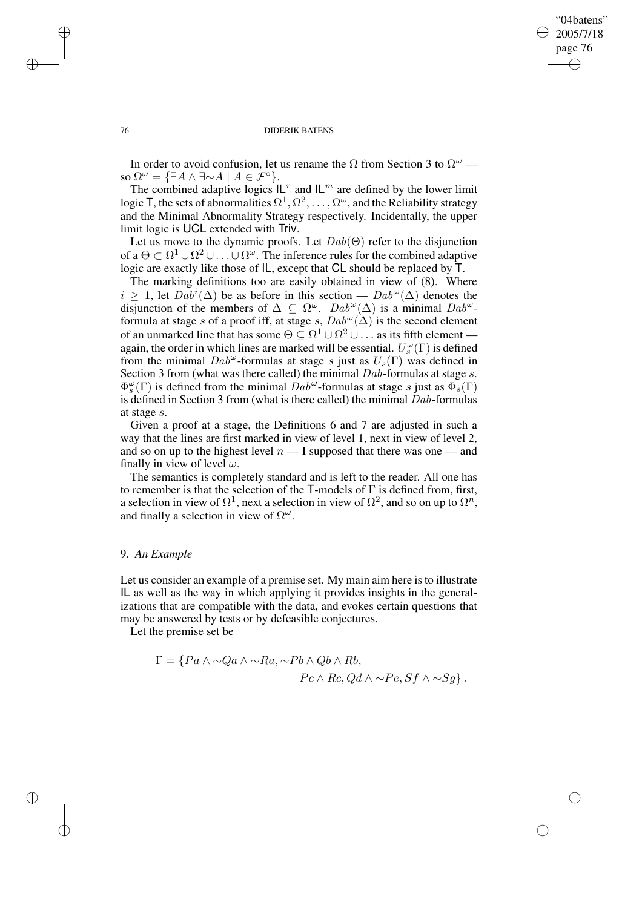## "04batens" 2005/7/18 page 76 ✐ ✐

✐

✐

### 76 DIDERIK BATENS

In order to avoid confusion, let us rename the  $\Omega$  from Section 3 to  $\Omega^{\omega}$  so  $\Omega^{\omega} = {\exists A \wedge \exists \sim A \mid A \in \mathcal{F}^{\circ}}.$ 

The combined adaptive logics  $\mathsf{IL}^r$  and  $\mathsf{IL}^m$  are defined by the lower limit logic T, the sets of abnormalities  $\Omega^1, \Omega^2, \ldots, \Omega^\omega$ , and the Reliability strategy and the Minimal Abnormality Strategy respectively. Incidentally, the upper limit logic is UCL extended with Triv.

Let us move to the dynamic proofs. Let  $Dab(\Theta)$  refer to the disjunction of a  $\Theta \subset \Omega^1 \cup \Omega^2 \cup \ldots \cup \Omega^\omega$ . The inference rules for the combined adaptive logic are exactly like those of IL, except that CL should be replaced by T.

The marking definitions too are easily obtained in view of (8). Where  $i \geq 1$ , let  $Dab^i(\Delta)$  be as before in this section —  $Dab^{\omega}(\Delta)$  denotes the disjunction of the members of  $\Delta \subseteq \Omega^{\omega}$ .  $Dab^{\omega}(\Delta)$  is a minimal  $Dab^{\omega}$ formula at stage s of a proof iff, at stage s,  $Dab^{\omega}(\Delta)$  is the second element of an unmarked line that has some  $\Theta \subseteq \Omega^1 \cup \Omega^2 \cup \dots$  as its fifth element again, the order in which lines are marked will be essential.  $U_s^{\omega}(\Gamma)$  is defined from the minimal  $Dab^{\omega}$ -formulas at stage s just as  $U_s(\Gamma)$  was defined in Section 3 from (what was there called) the minimal Dab-formulas at stage s.  $\Phi_s^{\omega}(\Gamma)$  is defined from the minimal  $Dab^{\omega}$ -formulas at stage s just as  $\Phi_s(\Gamma)$ is defined in Section 3 from (what is there called) the minimal  $Dab$ -formulas at stage s.

Given a proof at a stage, the Definitions 6 and 7 are adjusted in such a way that the lines are first marked in view of level 1, next in view of level 2, and so on up to the highest level  $n-1$  supposed that there was one — and finally in view of level  $\omega$ .

The semantics is completely standard and is left to the reader. All one has to remember is that the selection of the T-models of Γ is defined from, first, a selection in view of  $\Omega^1$ , next a selection in view of  $\Omega^2$ , and so on up to  $\Omega^n$ , and finally a selection in view of  $\Omega^{\omega}$ .

## 9. *An Example*

Let us consider an example of a premise set. My main aim here is to illustrate IL as well as the way in which applying it provides insights in the generalizations that are compatible with the data, and evokes certain questions that may be answered by tests or by defeasible conjectures.

Let the premise set be

$$
\Gamma = \{ Pa \land \sim Qa \land \sim Ra, \sim Pb \land Qb \land Rb, Pc \land Rc, Qd \land \sim Pe, Sf \land \sim Sg \}.
$$

✐

✐

✐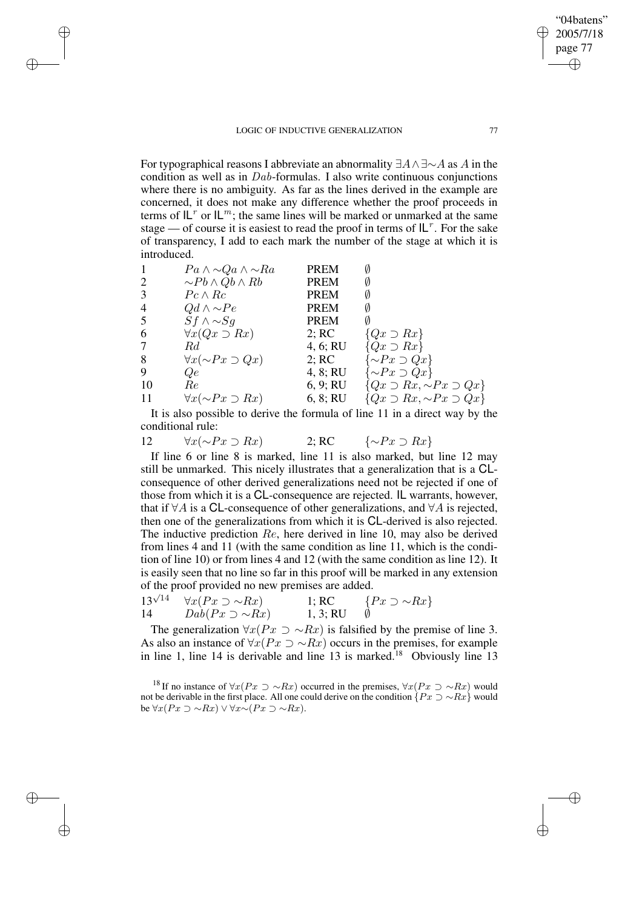✐

✐

✐

For typographical reasons I abbreviate an abnormality  $\exists A \wedge \exists \sim A$  as A in the condition as well as in Dab-formulas. I also write continuous conjunctions where there is no ambiguity. As far as the lines derived in the example are concerned, it does not make any difference whether the proof proceeds in terms of  $L^r$  or  $L^m$ ; the same lines will be marked or unmarked at the same stage — of course it is easiest to read the proof in terms of  $|L^r|$ . For the sake of transparency, I add to each mark the number of the stage at which it is introduced.

| $\sim Pb \wedge Qb \wedge Rb$<br>2<br><b>PREM</b><br>3<br>$Pc \wedge Rc$<br><b>PREM</b><br>$\overline{4}$<br>$Qd \wedge \sim Pe$<br><b>PREM</b><br>5<br>$Sf \wedge \sim Sq$<br><b>PREM</b><br>6<br>$\forall x(Qx \supset Rx)$<br>2; RC<br>$\{Qx \supset Rx\}$<br>$\{Qx \supset Rx\}$<br>$\tau$<br>4, 6; RU<br>Rd<br>$\{\sim P x \supset Q x\}$<br>8<br>$\forall x(\sim Px \supset Qx)$<br>2; RC<br>9<br>$\{\sim P x \supset Q x\}$<br>4, 8; RU<br>Qe<br>-10<br>6, 9; RU<br>Re<br>$\forall x(\sim Px \supset Rx)$<br>6, 8; RU<br>-11 | $Pa \wedge \sim Qa \wedge \sim Ra$ | <b>PREM</b> |                                         |
|-------------------------------------------------------------------------------------------------------------------------------------------------------------------------------------------------------------------------------------------------------------------------------------------------------------------------------------------------------------------------------------------------------------------------------------------------------------------------------------------------------------------------------------|------------------------------------|-------------|-----------------------------------------|
|                                                                                                                                                                                                                                                                                                                                                                                                                                                                                                                                     |                                    |             |                                         |
|                                                                                                                                                                                                                                                                                                                                                                                                                                                                                                                                     |                                    |             |                                         |
|                                                                                                                                                                                                                                                                                                                                                                                                                                                                                                                                     |                                    |             |                                         |
|                                                                                                                                                                                                                                                                                                                                                                                                                                                                                                                                     |                                    |             |                                         |
|                                                                                                                                                                                                                                                                                                                                                                                                                                                                                                                                     |                                    |             |                                         |
|                                                                                                                                                                                                                                                                                                                                                                                                                                                                                                                                     |                                    |             |                                         |
|                                                                                                                                                                                                                                                                                                                                                                                                                                                                                                                                     |                                    |             |                                         |
|                                                                                                                                                                                                                                                                                                                                                                                                                                                                                                                                     |                                    |             |                                         |
|                                                                                                                                                                                                                                                                                                                                                                                                                                                                                                                                     |                                    |             | ${Qx \supset Rx, \sim Px \supset Qx}$   |
|                                                                                                                                                                                                                                                                                                                                                                                                                                                                                                                                     |                                    |             | $\{Qx \supset Rx, \sim Px \supset Qx\}$ |

It is also possible to derive the formula of line 11 in a direct way by the conditional rule:

12  $\forall x (\sim Px \supset Rx)$  2; RC  $\{\sim Px \supset Rx\}$ 

If line 6 or line 8 is marked, line 11 is also marked, but line 12 may still be unmarked. This nicely illustrates that a generalization that is a CLconsequence of other derived generalizations need not be rejected if one of those from which it is a CL-consequence are rejected. IL warrants, however, that if  $\forall A$  is a CL-consequence of other generalizations, and  $\forall A$  is rejected, then one of the generalizations from which it is CL-derived is also rejected. The inductive prediction Re, here derived in line 10, may also be derived from lines 4 and 11 (with the same condition as line 11, which is the condition of line 10) or from lines 4 and 12 (with the same condition as line 12). It is easily seen that no line so far in this proof will be marked in any extension of the proof provided no new premises are added.

|    | $13^{\sqrt{14}}$ $\forall x (Px \supset \sim Rx)$ | 1; RC    | $\{Px \supset \sim Rx\}$ |
|----|---------------------------------------------------|----------|--------------------------|
| 14 | $Dab(Px \supset \sim Rx)$                         | 1, 3; RU |                          |

The generalization  $\forall x (Px \supset \sim Rx)$  is falsified by the premise of line 3. As also an instance of  $\forall x (Px \supset \sim Rx)$  occurs in the premises, for example in line 1, line 14 is derivable and line 13 is marked.<sup>18</sup> Obviously line 13

"04batens" 2005/7/18 page 77

✐

✐

✐

<sup>&</sup>lt;sup>18</sup> If no instance of  $\forall x(Px \supset \sim Rx)$  occurred in the premises,  $\forall x(Px \supset \sim Rx)$  would not be derivable in the first place. All one could derive on the condition  $\{Px \supset \sim Rx\}$  would be  $\forall x (Px \supset \sim Rx) \vee \forall x \sim (Px \supset \sim Rx)$ .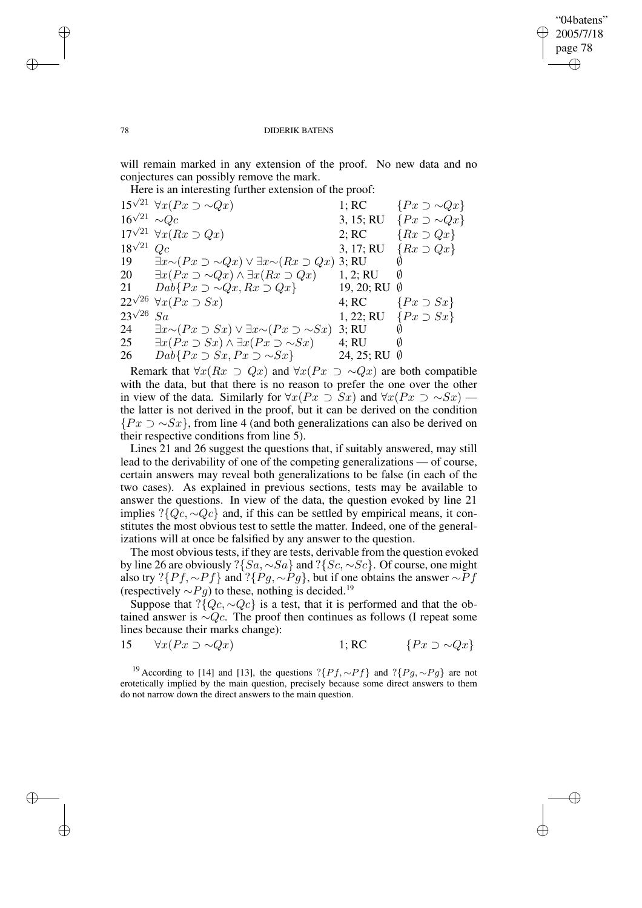✐

### 78 DIDERIK BATENS

will remain marked in any extension of the proof. No new data and no conjectures can possibly remove the mark.

Here is an interesting further extension of the proof:

15<sup> $\sqrt{21}$ </sup>  $\forall x (Px \supset \sim Qx)$  1; RC { $Px \supset \sim Qx$ } 16 √ 3, 15; RU { $Px \supset \sim Qx$ } 17 $\sqrt{21}$   $\forall x (Rx \supset Qx)$  2; RC  $\{Rx \supset Qx\}$ 18 √ 3, 17; RU { $Rx \supset Qx$ } 19  $\exists x \sim (Px \supset \sim Qx) \vee \exists x \sim (Rx \supset Qx)$  3; RU  $\emptyset$ 20  $\exists x (Px \supset \sim Qx) \land \exists x (Rx \supset Qx)$  1, 2; RU Ø 21  $Dab\{Px \supset \sim Qx, Rx \supset Qx\}$  19, 20; RU Ø  $22^{\sqrt{26}} \; \forall x (Px \supset Sx)$  4; RC  $\{Px \supset Sx\}$ 23 √ 1, 22; RU { $Px \supset Sx$ } 24  $\exists x \sim (Px \supset Sx) \vee \exists x \sim (Px \supset \sim Sx)$  3; RU  $\emptyset$ <br>25  $\exists x (Px \supset Sx) \wedge \exists x (Px \supset \sim Sx)$  4: RU  $\emptyset$ 25  $\exists x (Px \supset Sx) \land \exists x (Px \supset \sim Sx)$  4; RU Ø<br>26  $Dab\{Px \supset Sx, Px \supset \sim Sx\}$  24, 25; RU Ø  $Dab\{Px \supset Sx, Px \supset \sim Sx\}$ 

Remark that  $\forall x(Rx \supset Qx)$  and  $\forall x(Px \supset \sim Qx)$  are both compatible with the data, but that there is no reason to prefer the one over the other in view of the data. Similarly for  $\forall x (Px \supset Sx)$  and  $\forall x (Px \supset \sim Sx)$ . the latter is not derived in the proof, but it can be derived on the condition  $\{Px \supset \sim Sx\}$ , from line 4 (and both generalizations can also be derived on their respective conditions from line 5).

Lines 21 and 26 suggest the questions that, if suitably answered, may still lead to the derivability of one of the competing generalizations — of course, certain answers may reveal both generalizations to be false (in each of the two cases). As explained in previous sections, tests may be available to answer the questions. In view of the data, the question evoked by line 21 implies ?{ $Qc, \sim Qc$ } and, if this can be settled by empirical means, it constitutes the most obvious test to settle the matter. Indeed, one of the generalizations will at once be falsified by any answer to the question.

The most obvious tests, if they are tests, derivable from the question evoked by line 26 are obviously ?{Sa, ∼Sa} and ?{Sc, ∼Sc}. Of course, one might also try ?{ $Pf, \sim Pf$ } and ?{ $Pg, \sim Pg$ }, but if one obtains the answer ∼ $Pf$ (respectively  $\sim Pg$ ) to these, nothing is decided.<sup>19</sup>

Suppose that ?{ $Qc, \sim Qc$ } is a test, that it is performed and that the obtained answer is  $\sim Qc$ . The proof then continues as follows (I repeat some lines because their marks change):

15  $\forall x (Px \supset \sim Qx)$  1; RC {Px ⇒ ∼Qx}

<sup>19</sup> According to [14] and [13], the questions ?{ $Pf, \sim Pf$ } and ?{ $Pg, \sim Pg$ } are not erotetically implied by the main question, precisely because some direct answers to them do not narrow down the direct answers to the main question.

✐

✐

✐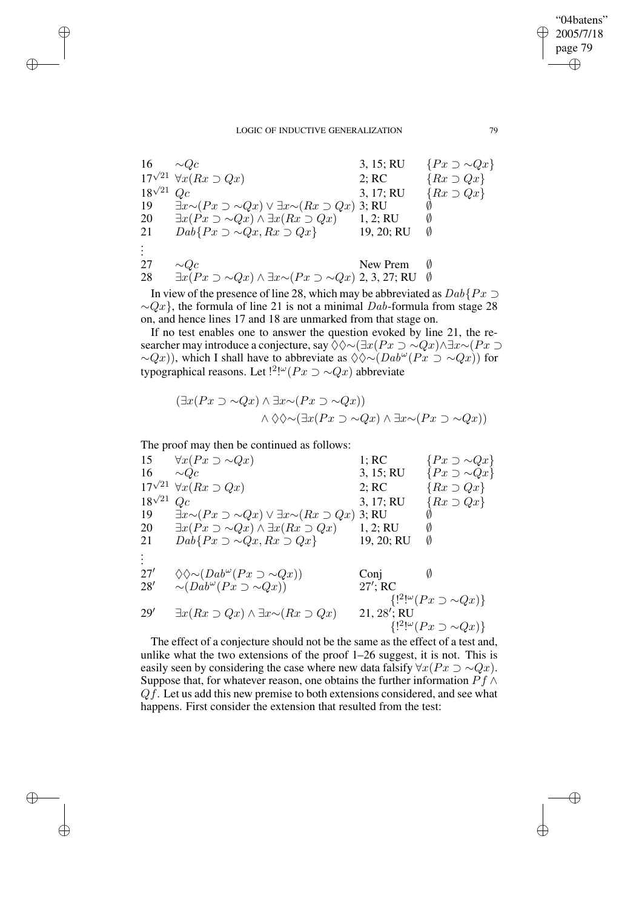| 16               | $\sim Qc$                                                                               | 3, 15; RU  | $\{Px \supset \sim Qx\}$ |
|------------------|-----------------------------------------------------------------------------------------|------------|--------------------------|
|                  | $17^{\sqrt{21}} \forall x (Rx \supset Qx)$                                              | 2; RC      | $\{Rx \supset Qx\}$      |
| $18^{\sqrt{21}}$ | Qc                                                                                      | 3, 17; RU  | $\{Rx \supset Qx\}$      |
| 19               | $\exists x \sim (Px \supset \sim Qx) \vee \exists x \sim (Rx \supset Qx)$ 3; RU         |            |                          |
| 20               | $\exists x (Px \supset \sim Qx) \land \exists x (Rx \supset Qx)$                        | 1, 2; RU   | Ø                        |
| 21               | $Dab\{Px \supset \sim Qx, Rx \supset Qx\}$                                              | 19, 20; RU | Ø                        |
|                  |                                                                                         |            |                          |
| 27               | $\sim Qc$                                                                               | New Prem   | Ø                        |
| 28               | $\exists x (Px \supset \sim Qx) \land \exists x \sim (Px \supset \sim Qx)$ 2, 3, 27; RU |            | Ø                        |

In view of the presence of line 28, which may be abbreviated as  $Dab\{Px \supset$  $\sim Qx$ , the formula of line 21 is not a minimal Dab-formula from stage 28 on, and hence lines 17 and 18 are unmarked from that stage on.

If no test enables one to answer the question evoked by line 21, the researcher may introduce a conjecture, say  $\Diamond \Diamond \sim (\exists x (Px \supset \sim Qx) \land \exists x \sim (Px \supset \neg Qx)$  $\sim Q(x)$ ), which I shall have to abbreviate as  $\Diamond \Diamond \sim (Dab^{\omega}(Px \supset \sim Qx))$  for typographical reasons. Let  $!^2$ <sup>[ $\omega$ </sup>( $Px \supset \sim Qx$ ) abbreviate

$$
(\exists x (Px \supset \sim Qx) \land \exists x \sim (Px \supset \sim Qx))
$$
  

$$
\land \Diamond \Diamond \sim (\exists x (Px \supset \sim Qx) \land \exists x \sim (Px \supset \sim Qx))
$$

The proof may then be continued as follows:

✐

✐

✐

✐

15  $\forall x (Px \supset \sim Qx)$ <br>16  $\sim Qc$ <br>1; RC { $Px \supset \sim Qx$ }<br>3, 15; RU { $Px \supset \sim Qx$ } 16  $\sim Qc$  3, 15; RU { $Px \supset \sim Qx$ } 17 $\sqrt{21}$   $\forall x (Rx \supset Qx)$  2; RC  $\{Rx \supset Qx\}$ 18 √ 3, 17; RU { $Rx \supset Qx$ } 19  $\exists x \sim (Px \supset \sim Qx) \vee \exists x \sim (Rx \supset Qx)$  3; RU  $\emptyset$ <br>20  $\exists x (Px \supset \sim Qx) \wedge \exists x (Rx \supset Qx)$  1, 2; RU  $\emptyset$ 20  $\exists x (Px \supset \sim Qx) \land \exists x (Rx \supset Qx)$  1, 2; RU Ø<br>21  $Da\{Px \supset \sim Qx, Rx \supset Qx\}$  19, 20; RU Ø  $Da\bar{b} \{Px \supset \sim Qx, Rx \supset Qx\}$ . . . 27'  $\diamondsuit \diamond (Dab^{\omega}(Px \supset \sim Qx))$  Conj Ø 28' ∼ $(Dab^{\omega}(Px \supset \sim Qx))$  27'  $27$ : RC  ${[}^{2\mu}\omega(Px \supset \sim Qx){]}$ 29'  $\exists x(Rx \supset Qx) \wedge \exists x \sim (Rx \supset Qx)$ 21,  $28'$ ; RU  ${[}^{2}$ !" $(Px \supset \sim Qx)$ }

The effect of a conjecture should not be the same as the effect of a test and, unlike what the two extensions of the proof 1–26 suggest, it is not. This is easily seen by considering the case where new data falsify  $\forall x (Px \supset \sim Qx)$ . Suppose that, for whatever reason, one obtains the further information  $Pf \wedge$  $Qf$ . Let us add this new premise to both extensions considered, and see what happens. First consider the extension that resulted from the test:

"04batens" 2005/7/18 page 79

✐

✐

✐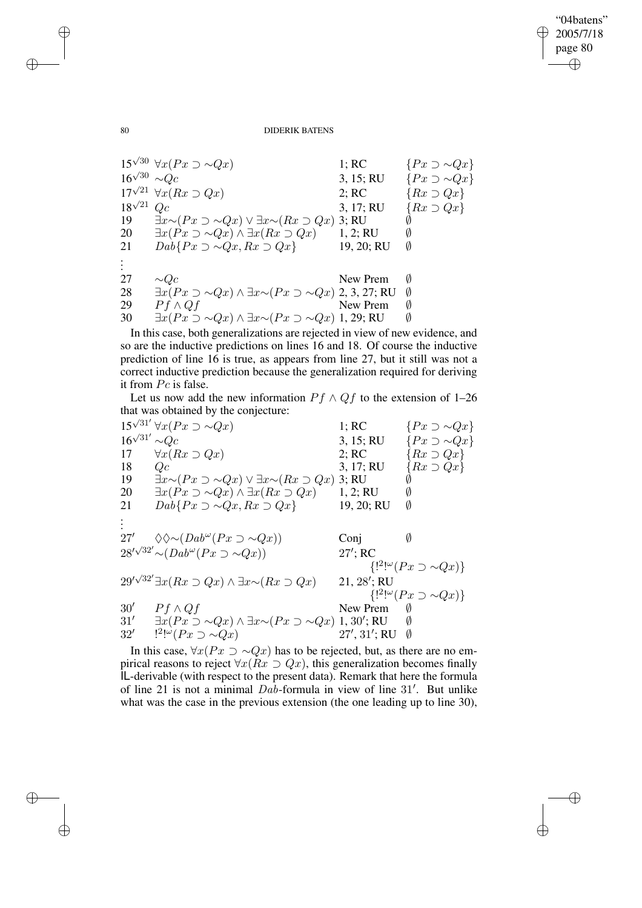$\bigoplus$ 

✐

### 80 DIDERIK BATENS

15<sup> $\sqrt{30}$ </sup>  $\forall x (Px \supset \sim Qx)$  1; RC  $\{Px \supset \sim Qx\}$ 16 √ 3, 15; RU { $Px \supset \sim Qx$ } 17<sup> $\sqrt{21}$ </sup>  $\forall x (Rx \supset Qx)$  2; RC {Rx  $\supset Qx$ } 18 √ 3, 17; RU { $Rx \supset Qx$ } 19  $\exists x \sim (Px \supset \sim Qx) \vee \exists x \sim (Rx \supset Qx)$  3; RU  $\emptyset$ <br>20  $\exists x (Px \supset \sim Qx) \wedge \exists x (Rx \supset Qx)$  1, 2: RU  $\emptyset$ 20  $\exists x (Px \supset \sim Qx) \land \exists x (Rx \supset Qx)$  1, 2; RU Ø<br>21  $Da\{Px \supset \sim Qx, Rx \supset Qx\}$  19, 20; RU Ø  $Dab\{Px \supset \sim Qx, Rx \supset Qx\}$  19, 20; RU . . . 27  $\sim Qc$  New Prem Ø 28 ∃ $x(Px \supset \sim Qx) \land \exists x \sim (Px \supset \sim Qx)$  2, 3, 27; RU Ø 29  $Pf \wedge Qf$  New Prem Ø 30  $\exists x (Px \supset \sim Qx) \land \exists x \sim (Px \supset \sim Qx)$  1, 29; RU

In this case, both generalizations are rejected in view of new evidence, and so are the inductive predictions on lines 16 and 18. Of course the inductive prediction of line 16 is true, as appears from line 27, but it still was not a correct inductive prediction because the generalization required for deriving it from Pc is false.

Let us now add the new information  $Pf \wedge Qf$  to the extension of 1–26 that was obtained by the conjecture:

15<sup> $\sqrt{31'}$ </sup> ∀x( $Px \supset \sim Qx$ ) 1; RC { $Px \supset \sim Qx$ }  $16^{\sqrt{31}}$ 3, 15; RU  $\{Px \supset \sim Qx\}$ 17  $\forall x (Rx \supset Qx)$  2; RC {Rx  $\supset Qx$ } 18  $Qc$ <br>
19  $\exists x \sim (Px \supset \sim Qx) \vee \exists x \sim (Rx \supset Qx)$ <br>
3; 17; RU  $\{Rx \supset Qx\}$ <br>
19  $\exists x \sim (Px \supset \sim Qx) \vee \exists x \sim (Rx \supset Qx)$  $\exists x \sim (Px \supset \sim Qx) \vee \exists x \sim (Rx \supset Qx)$  3; RU  $\emptyset$ 20  $\exists x (Px \supset \sim Qx) \land \exists x (Rx \supset Qx)$  1, 2; RU  $\emptyset$ 21  $Dab\{Px \supset \sim Qx, Rx \supset Qx\}$  19, 20; RU Ø . . . 27'  $\Diamond \Diamond \sim (Dab^{\omega}(Px \supset \sim Qx))$  Conj Ø  $28'\sqrt{32'} \sim (Dab^{\omega}(Px \supset \sim Qx))$  27'  $27$ <sup>'</sup>; RC  ${!^2}^{\omega} (Px \supset \sim Qx)$ 29′√<sup>32′</sup>∃ $x(Rx \supset Qx) \wedge \exists x \sim (Rx \supset Qx)$  21, 28′ 21, 28'; RU  ${[}^{2}\cdot^{\omega}(Px \supset \sim Qx){]}$  $30'$  Pf ∧ Q f New Prem  $\emptyset$ 31′  $\exists x (Px \supset \sim Qx) \land \exists x \sim (Px \supset \sim Qx)$  1, 30′; RU  $\qquad \emptyset$  $32'$  $!^{2}!^{\omega}(Px \supset \sim Qx)$  27' , 31'; RU $\emptyset$ 

In this case,  $\forall x (Px \supset \sim Qx)$  has to be rejected, but, as there are no empirical reasons to reject  $\forall x(Rx \supset Qx)$ , this generalization becomes finally IL-derivable (with respect to the present data). Remark that here the formula of line 21 is not a minimal  $Da\bar{b}$ -formula in view of line 31'. But unlike what was the case in the previous extension (the one leading up to line 30),

✐

✐

✐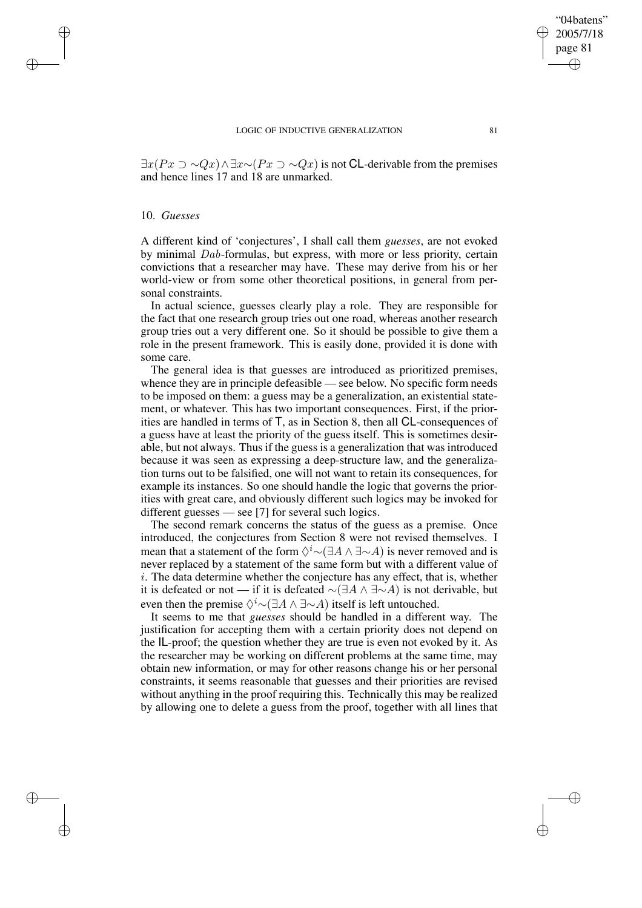$\exists x(Px \supset \sim Qx) \wedge \exists x \sim (Px \supset \sim Qx)$  is not CL-derivable from the premises and hence lines 17 and 18 are unmarked.

## 10. *Guesses*

✐

✐

✐

✐

A different kind of 'conjectures', I shall call them *guesses*, are not evoked by minimal Dab-formulas, but express, with more or less priority, certain convictions that a researcher may have. These may derive from his or her world-view or from some other theoretical positions, in general from personal constraints.

In actual science, guesses clearly play a role. They are responsible for the fact that one research group tries out one road, whereas another research group tries out a very different one. So it should be possible to give them a role in the present framework. This is easily done, provided it is done with some care.

The general idea is that guesses are introduced as prioritized premises, whence they are in principle defeasible — see below. No specific form needs to be imposed on them: a guess may be a generalization, an existential statement, or whatever. This has two important consequences. First, if the priorities are handled in terms of T, as in Section 8, then all CL-consequences of a guess have at least the priority of the guess itself. This is sometimes desirable, but not always. Thus if the guess is a generalization that was introduced because it was seen as expressing a deep-structure law, and the generalization turns out to be falsified, one will not want to retain its consequences, for example its instances. So one should handle the logic that governs the priorities with great care, and obviously different such logics may be invoked for different guesses — see [7] for several such logics.

The second remark concerns the status of the guess as a premise. Once introduced, the conjectures from Section 8 were not revised themselves. I mean that a statement of the form  $\Diamond^i \sim (\exists A \land \exists \sim A)$  is never removed and is never replaced by a statement of the same form but with a different value of  $i$ . The data determine whether the conjecture has any effect, that is, whether it is defeated or not — if it is defeated  $\sim$ ( $\exists A \wedge \exists \sim A$ ) is not derivable, but even then the premise  $\Diamond^i \sim (\exists A \land \exists \sim A)$  itself is left untouched.

It seems to me that *guesses* should be handled in a different way. The justification for accepting them with a certain priority does not depend on the IL-proof; the question whether they are true is even not evoked by it. As the researcher may be working on different problems at the same time, may obtain new information, or may for other reasons change his or her personal constraints, it seems reasonable that guesses and their priorities are revised without anything in the proof requiring this. Technically this may be realized by allowing one to delete a guess from the proof, together with all lines that

"04batens" 2005/7/18 page 81

✐

✐

✐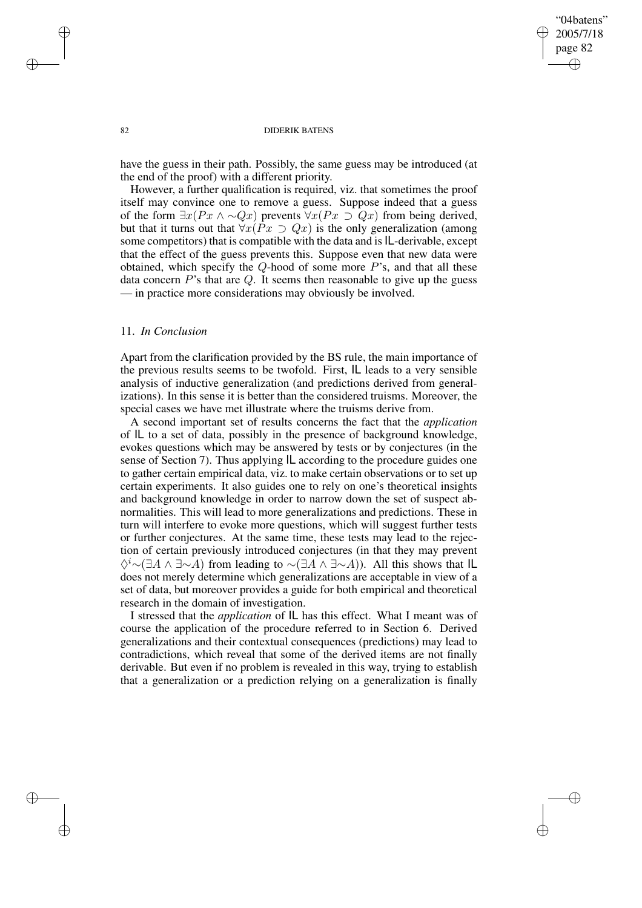✐

### 82 DIDERIK BATENS

have the guess in their path. Possibly, the same guess may be introduced (at the end of the proof) with a different priority.

However, a further qualification is required, viz. that sometimes the proof itself may convince one to remove a guess. Suppose indeed that a guess of the form  $\exists x (Px \land \sim Qx)$  prevents  $\forall x (Px \supset Qx)$  from being derived, but that it turns out that  $\forall x (Px \supset Qx)$  is the only generalization (among some competitors) that is compatible with the data and is IL-derivable, except that the effect of the guess prevents this. Suppose even that new data were obtained, which specify the  $Q$ -hood of some more  $P$ 's, and that all these data concern  $P$ 's that are  $Q$ . It seems then reasonable to give up the guess — in practice more considerations may obviously be involved.

## 11. *In Conclusion*

Apart from the clarification provided by the BS rule, the main importance of the previous results seems to be twofold. First, IL leads to a very sensible analysis of inductive generalization (and predictions derived from generalizations). In this sense it is better than the considered truisms. Moreover, the special cases we have met illustrate where the truisms derive from.

A second important set of results concerns the fact that the *application* of IL to a set of data, possibly in the presence of background knowledge, evokes questions which may be answered by tests or by conjectures (in the sense of Section 7). Thus applying IL according to the procedure guides one to gather certain empirical data, viz. to make certain observations or to set up certain experiments. It also guides one to rely on one's theoretical insights and background knowledge in order to narrow down the set of suspect abnormalities. This will lead to more generalizations and predictions. These in turn will interfere to evoke more questions, which will suggest further tests or further conjectures. At the same time, these tests may lead to the rejection of certain previously introduced conjectures (in that they may prevent  $\Diamond^i \sim (\exists A \land \exists \sim A)$  from leading to  $\sim (\exists A \land \exists \sim A)$ ). All this shows that IL does not merely determine which generalizations are acceptable in view of a set of data, but moreover provides a guide for both empirical and theoretical research in the domain of investigation.

I stressed that the *application* of IL has this effect. What I meant was of course the application of the procedure referred to in Section 6. Derived generalizations and their contextual consequences (predictions) may lead to contradictions, which reveal that some of the derived items are not finally derivable. But even if no problem is revealed in this way, trying to establish that a generalization or a prediction relying on a generalization is finally

✐

✐

✐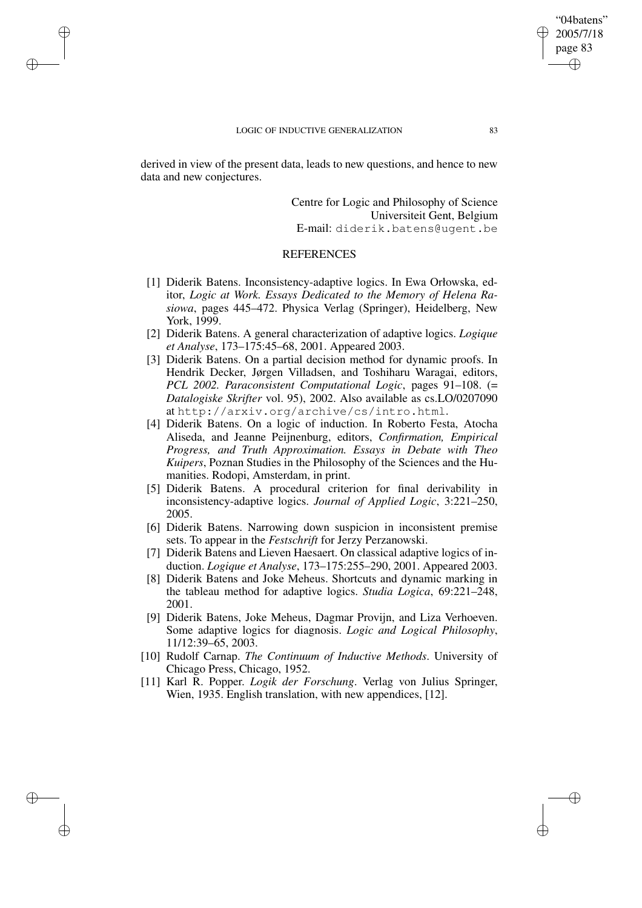✐

✐

✐

derived in view of the present data, leads to new questions, and hence to new data and new conjectures.

> Centre for Logic and Philosophy of Science Universiteit Gent, Belgium E-mail: diderik.batens@ugent.be

## **REFERENCES**

- [1] Diderik Batens. Inconsistency-adaptive logics. In Ewa Orłowska, editor, *Logic at Work. Essays Dedicated to the Memory of Helena Rasiowa*, pages 445–472. Physica Verlag (Springer), Heidelberg, New York, 1999.
- [2] Diderik Batens. A general characterization of adaptive logics. *Logique et Analyse*, 173–175:45–68, 2001. Appeared 2003.
- [3] Diderik Batens. On a partial decision method for dynamic proofs. In Hendrik Decker, Jørgen Villadsen, and Toshiharu Waragai, editors, *PCL 2002. Paraconsistent Computational Logic*, pages 91–108. (= *Datalogiske Skrifter* vol. 95), 2002. Also available as cs.LO/0207090 at http://arxiv.org/archive/cs/intro.html.
- [4] Diderik Batens. On a logic of induction. In Roberto Festa, Atocha Aliseda, and Jeanne Peijnenburg, editors, *Confirmation, Empirical Progress, and Truth Approximation. Essays in Debate with Theo Kuipers*, Poznan Studies in the Philosophy of the Sciences and the Humanities. Rodopi, Amsterdam, in print.
- [5] Diderik Batens. A procedural criterion for final derivability in inconsistency-adaptive logics. *Journal of Applied Logic*, 3:221–250, 2005.
- [6] Diderik Batens. Narrowing down suspicion in inconsistent premise sets. To appear in the *Festschrift* for Jerzy Perzanowski.
- [7] Diderik Batens and Lieven Haesaert. On classical adaptive logics of induction. *Logique et Analyse*, 173–175:255–290, 2001. Appeared 2003.
- [8] Diderik Batens and Joke Meheus. Shortcuts and dynamic marking in the tableau method for adaptive logics. *Studia Logica*, 69:221–248, 2001.
- [9] Diderik Batens, Joke Meheus, Dagmar Provijn, and Liza Verhoeven. Some adaptive logics for diagnosis. *Logic and Logical Philosophy*, 11/12:39–65, 2003.
- [10] Rudolf Carnap. *The Continuum of Inductive Methods*. University of Chicago Press, Chicago, 1952.
- [11] Karl R. Popper. *Logik der Forschung*. Verlag von Julius Springer, Wien, 1935. English translation, with new appendices, [12].

"04batens" 2005/7/18 page 83

✐

✐

✐